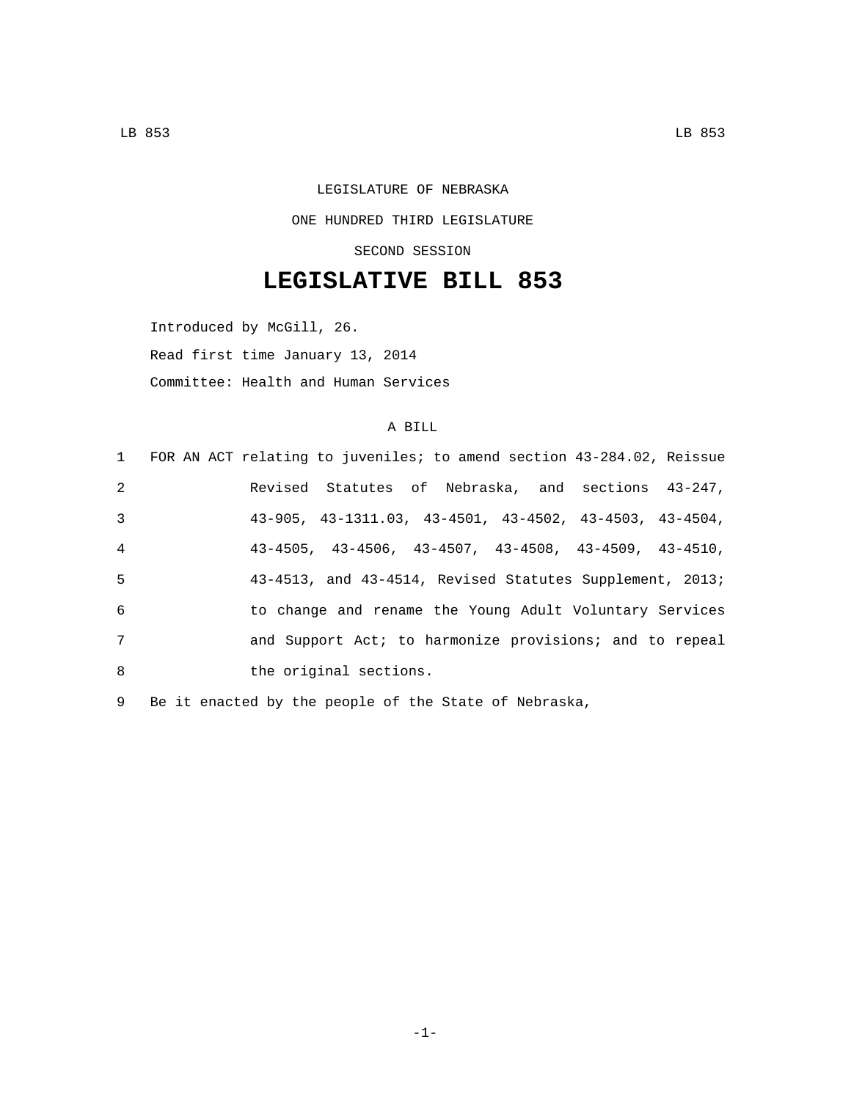LEGISLATURE OF NEBRASKA ONE HUNDRED THIRD LEGISLATURE SECOND SESSION

## **LEGISLATIVE BILL 853**

Introduced by McGill, 26. Read first time January 13, 2014 Committee: Health and Human Services

## A BILL

|                 | 1 FOR AN ACT relating to juveniles; to amend section 43-284.02, Reissue   |
|-----------------|---------------------------------------------------------------------------|
| 2               | Revised Statutes of Nebraska, and sections 43-247,                        |
| 3               | $43-905$ , $43-1311.03$ , $43-4501$ , $43-4502$ , $43-4503$ , $43-4504$ , |
| $\overline{4}$  | $43-4505$ , $43-4506$ , $43-4507$ , $43-4508$ , $43-4509$ , $43-4510$ ,   |
| 5               | $43-4513$ , and $43-4514$ , Revised Statutes Supplement, 2013;            |
| 6               | to change and rename the Young Adult Voluntary Services                   |
| $7\phantom{.0}$ | and Support Act; to harmonize provisions; and to repeal                   |
| 8               | the original sections.                                                    |

9 Be it enacted by the people of the State of Nebraska,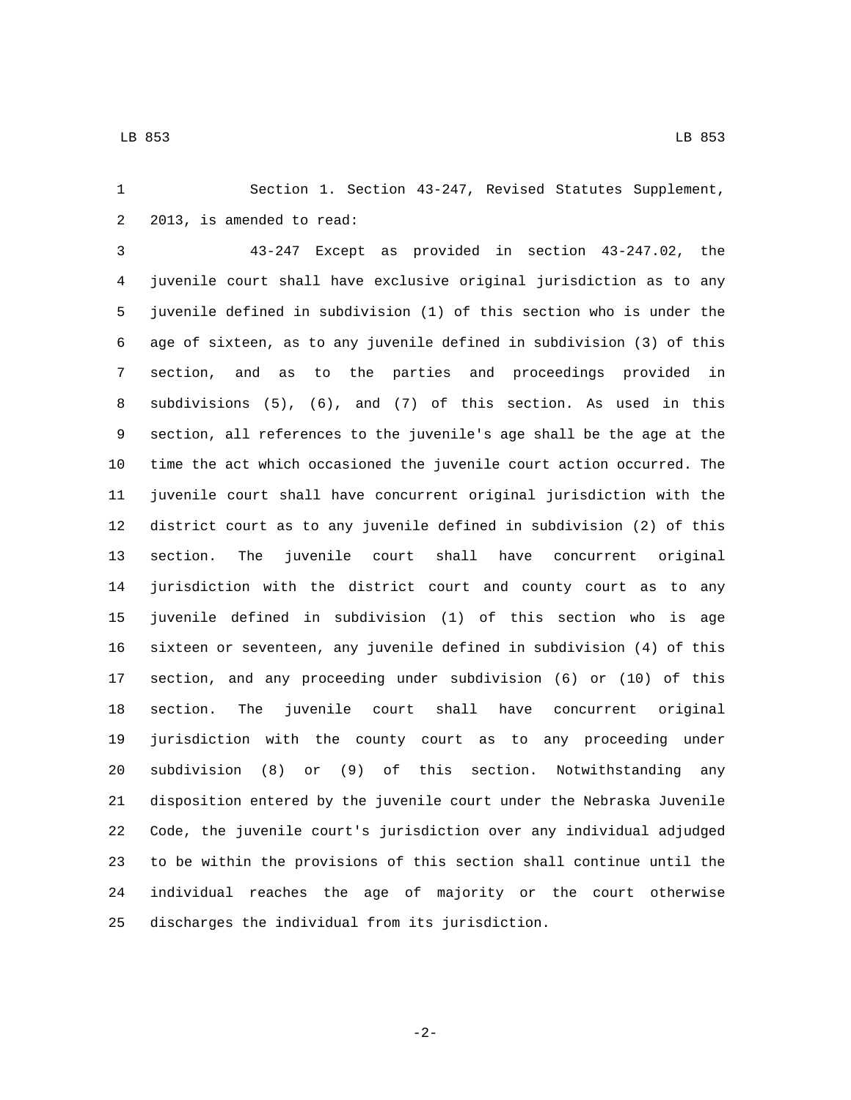Section 1. Section 43-247, Revised Statutes Supplement, 2 2013, is amended to read:

 43-247 Except as provided in section 43-247.02, the juvenile court shall have exclusive original jurisdiction as to any juvenile defined in subdivision (1) of this section who is under the age of sixteen, as to any juvenile defined in subdivision (3) of this section, and as to the parties and proceedings provided in subdivisions (5), (6), and (7) of this section. As used in this section, all references to the juvenile's age shall be the age at the time the act which occasioned the juvenile court action occurred. The juvenile court shall have concurrent original jurisdiction with the district court as to any juvenile defined in subdivision (2) of this section. The juvenile court shall have concurrent original jurisdiction with the district court and county court as to any juvenile defined in subdivision (1) of this section who is age sixteen or seventeen, any juvenile defined in subdivision (4) of this section, and any proceeding under subdivision (6) or (10) of this section. The juvenile court shall have concurrent original jurisdiction with the county court as to any proceeding under subdivision (8) or (9) of this section. Notwithstanding any disposition entered by the juvenile court under the Nebraska Juvenile Code, the juvenile court's jurisdiction over any individual adjudged to be within the provisions of this section shall continue until the individual reaches the age of majority or the court otherwise 25 discharges the individual from its jurisdiction.

-2-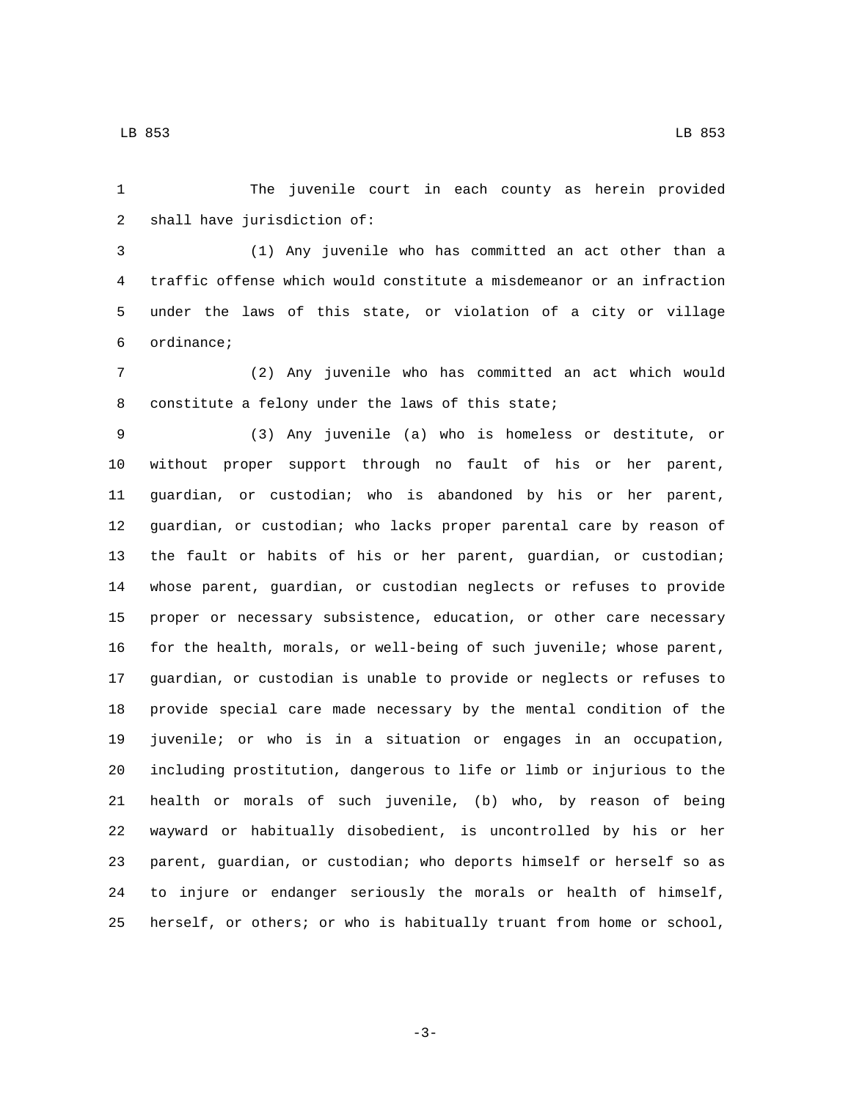The juvenile court in each county as herein provided 2 shall have jurisdiction of:

 (1) Any juvenile who has committed an act other than a traffic offense which would constitute a misdemeanor or an infraction under the laws of this state, or violation of a city or village ordinance;6

 (2) Any juvenile who has committed an act which would 8 constitute a felony under the laws of this state;

 (3) Any juvenile (a) who is homeless or destitute, or without proper support through no fault of his or her parent, guardian, or custodian; who is abandoned by his or her parent, guardian, or custodian; who lacks proper parental care by reason of the fault or habits of his or her parent, guardian, or custodian; whose parent, guardian, or custodian neglects or refuses to provide proper or necessary subsistence, education, or other care necessary for the health, morals, or well-being of such juvenile; whose parent, guardian, or custodian is unable to provide or neglects or refuses to provide special care made necessary by the mental condition of the juvenile; or who is in a situation or engages in an occupation, including prostitution, dangerous to life or limb or injurious to the health or morals of such juvenile, (b) who, by reason of being wayward or habitually disobedient, is uncontrolled by his or her parent, guardian, or custodian; who deports himself or herself so as to injure or endanger seriously the morals or health of himself, herself, or others; or who is habitually truant from home or school,

-3-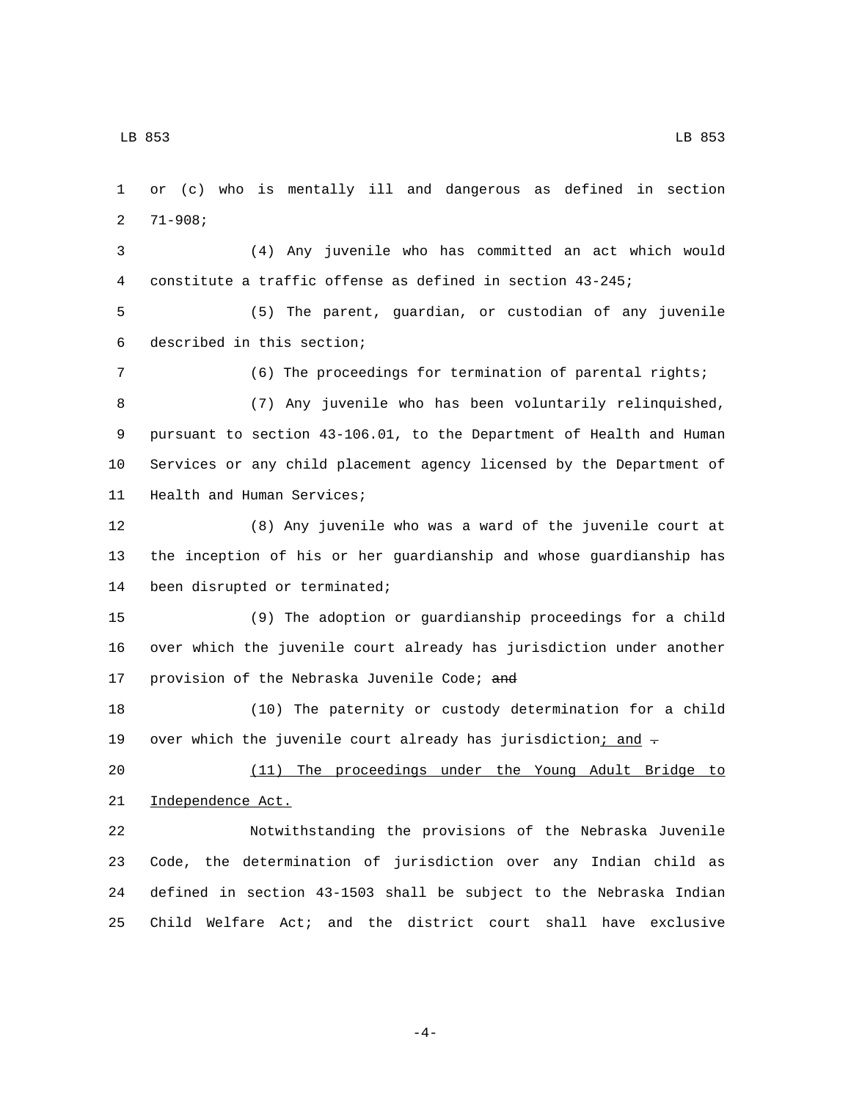or (c) who is mentally ill and dangerous as defined in section 2  $71-908;$  (4) Any juvenile who has committed an act which would constitute a traffic offense as defined in section 43-245; (5) The parent, guardian, or custodian of any juvenile 6 described in this section; (6) The proceedings for termination of parental rights; (7) Any juvenile who has been voluntarily relinquished, pursuant to section 43-106.01, to the Department of Health and Human Services or any child placement agency licensed by the Department of 11 Health and Human Services; (8) Any juvenile who was a ward of the juvenile court at the inception of his or her guardianship and whose guardianship has 14 been disrupted or terminated; (9) The adoption or guardianship proceedings for a child over which the juvenile court already has jurisdiction under another 17 provision of the Nebraska Juvenile Code; and (10) The paternity or custody determination for a child 19 over which the juvenile court already has jurisdiction; and  $\tau$  (11) The proceedings under the Young Adult Bridge to 21 Independence Act. Notwithstanding the provisions of the Nebraska Juvenile Code, the determination of jurisdiction over any Indian child as defined in section 43-1503 shall be subject to the Nebraska Indian Child Welfare Act; and the district court shall have exclusive

-4-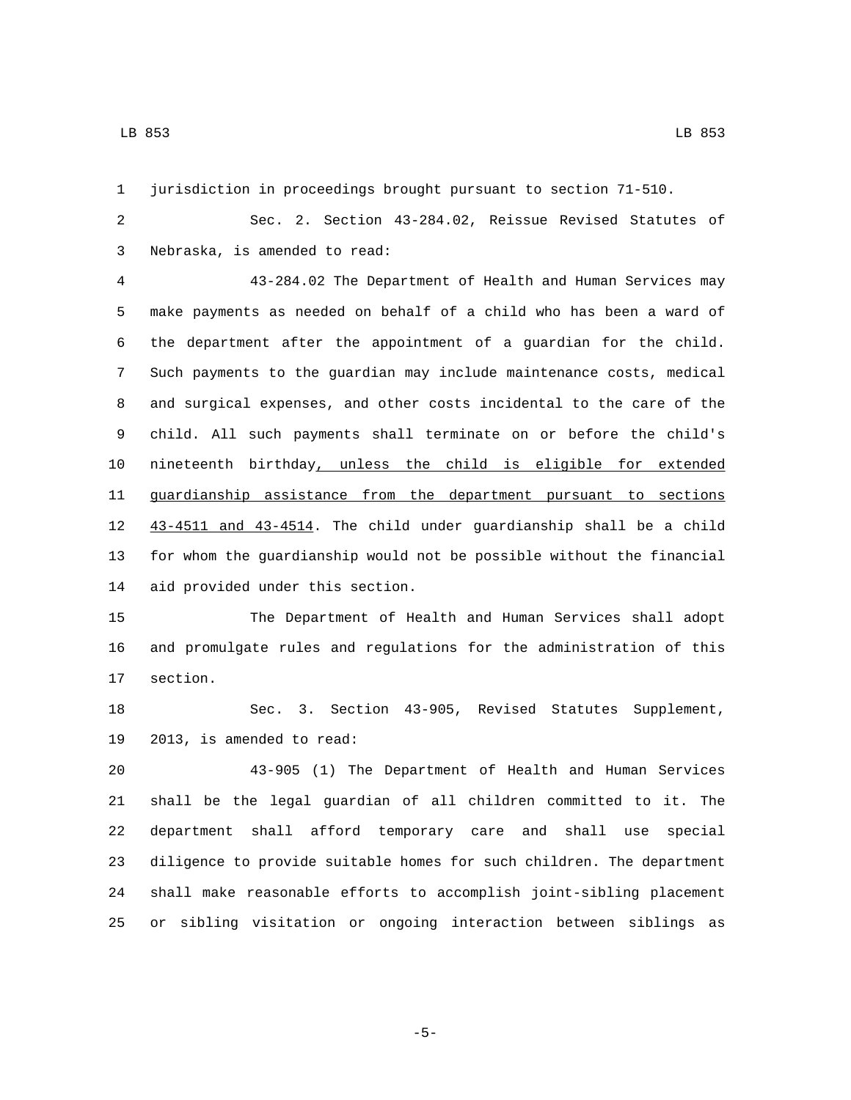jurisdiction in proceedings brought pursuant to section 71-510.

 Sec. 2. Section 43-284.02, Reissue Revised Statutes of Nebraska, is amended to read:3

 43-284.02 The Department of Health and Human Services may make payments as needed on behalf of a child who has been a ward of the department after the appointment of a guardian for the child. Such payments to the guardian may include maintenance costs, medical and surgical expenses, and other costs incidental to the care of the child. All such payments shall terminate on or before the child's nineteenth birthday, unless the child is eligible for extended guardianship assistance from the department pursuant to sections 43-4511 and 43-4514. The child under guardianship shall be a child for whom the guardianship would not be possible without the financial 14 aid provided under this section.

 The Department of Health and Human Services shall adopt and promulgate rules and regulations for the administration of this 17 section.

 Sec. 3. Section 43-905, Revised Statutes Supplement, 19 2013, is amended to read:

 43-905 (1) The Department of Health and Human Services shall be the legal guardian of all children committed to it. The department shall afford temporary care and shall use special diligence to provide suitable homes for such children. The department shall make reasonable efforts to accomplish joint-sibling placement or sibling visitation or ongoing interaction between siblings as

-5-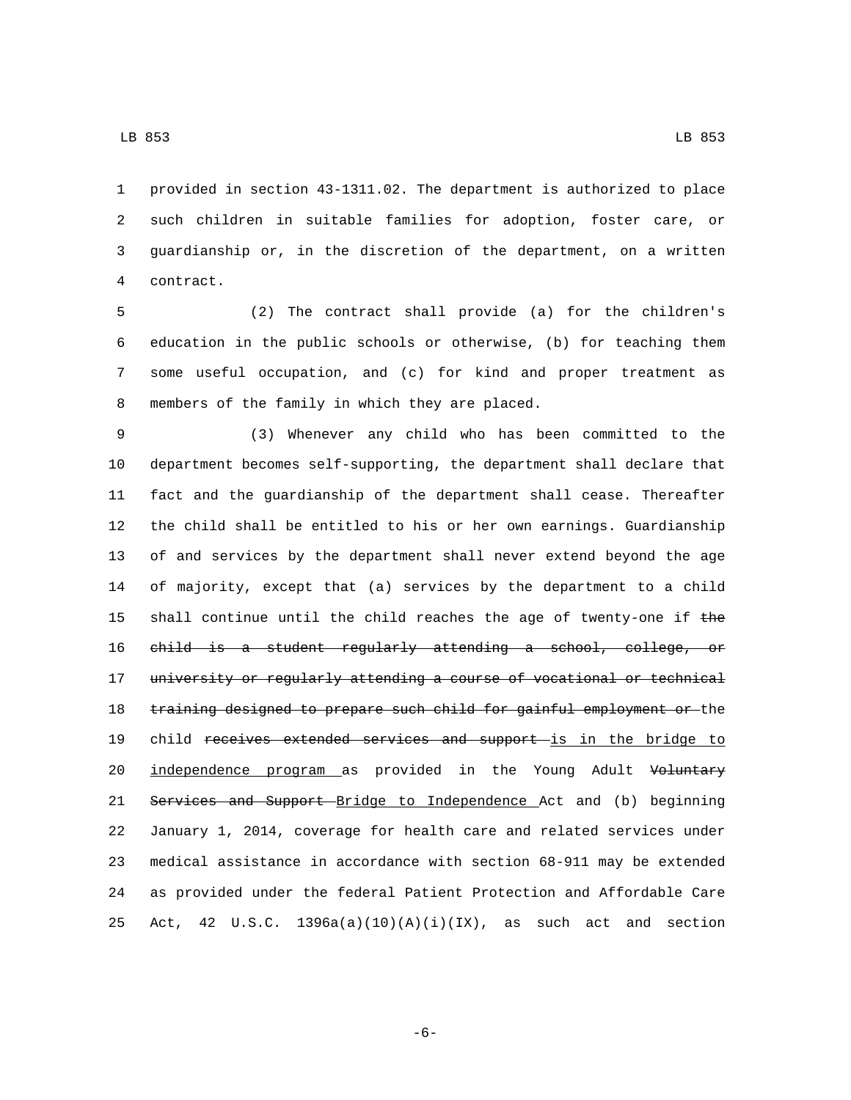provided in section 43-1311.02. The department is authorized to place such children in suitable families for adoption, foster care, or guardianship or, in the discretion of the department, on a written contract.4

 (2) The contract shall provide (a) for the children's education in the public schools or otherwise, (b) for teaching them some useful occupation, and (c) for kind and proper treatment as 8 members of the family in which they are placed.

9 (3) Whenever any child who has been committed to the 10 department becomes self-supporting, the department shall declare that 11 fact and the guardianship of the department shall cease. Thereafter 12 the child shall be entitled to his or her own earnings. Guardianship 13 of and services by the department shall never extend beyond the age 14 of majority, except that (a) services by the department to a child 15 shall continue until the child reaches the age of twenty-one if  $the$ 16 child is a student regularly attending a school, college, or 17 university or regularly attending a course of vocational or technical 18 training designed to prepare such child for gainful employment or the 19 child receives extended services and support is in the bridge to 20 independence program as provided in the Young Adult Voluntary 21 Services and Support Bridge to Independence Act and (b) beginning 22 January 1, 2014, coverage for health care and related services under 23 medical assistance in accordance with section 68-911 may be extended 24 as provided under the federal Patient Protection and Affordable Care 25 Act, 42 U.S.C.  $1396a(a)(10)(A)(i)(IX)$ , as such act and section

-6-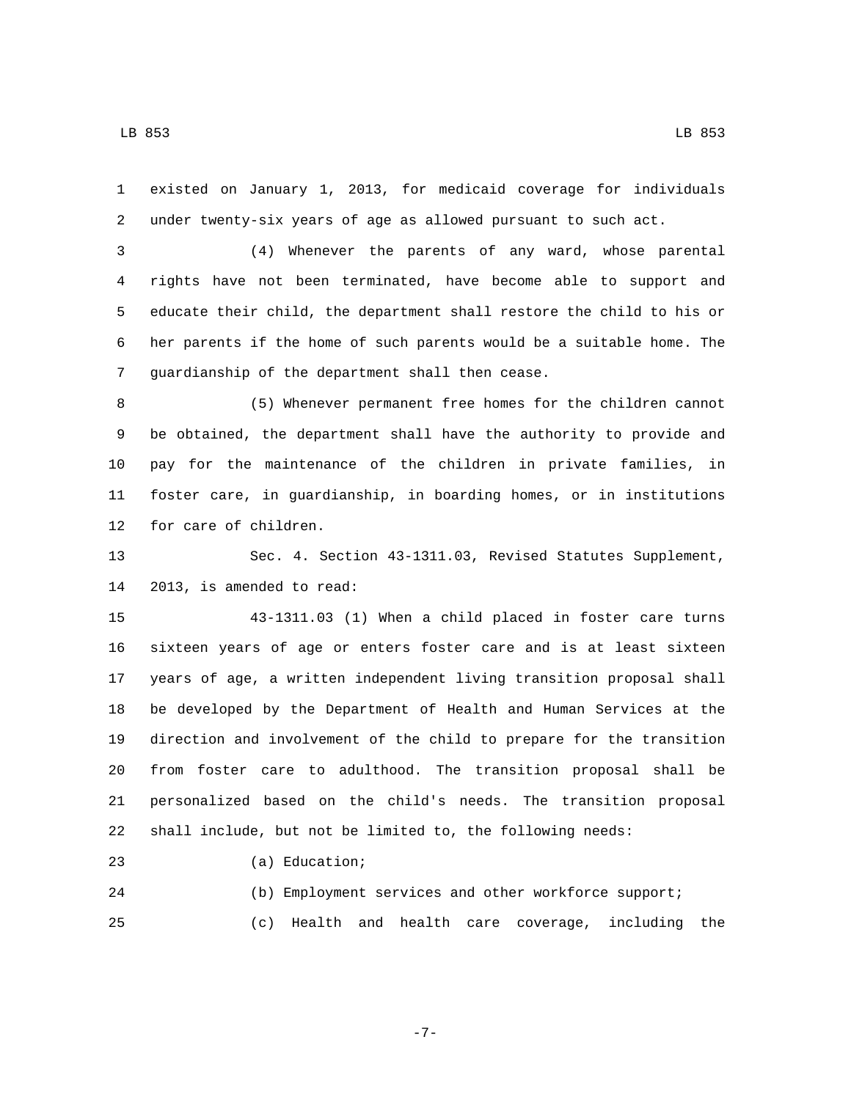existed on January 1, 2013, for medicaid coverage for individuals under twenty-six years of age as allowed pursuant to such act.

 (4) Whenever the parents of any ward, whose parental rights have not been terminated, have become able to support and educate their child, the department shall restore the child to his or her parents if the home of such parents would be a suitable home. The 7 guardianship of the department shall then cease.

 (5) Whenever permanent free homes for the children cannot be obtained, the department shall have the authority to provide and pay for the maintenance of the children in private families, in foster care, in guardianship, in boarding homes, or in institutions 12 for care of children.

 Sec. 4. Section 43-1311.03, Revised Statutes Supplement, 14 2013, is amended to read:

 43-1311.03 (1) When a child placed in foster care turns sixteen years of age or enters foster care and is at least sixteen years of age, a written independent living transition proposal shall be developed by the Department of Health and Human Services at the direction and involvement of the child to prepare for the transition from foster care to adulthood. The transition proposal shall be personalized based on the child's needs. The transition proposal shall include, but not be limited to, the following needs:

23 (a) Education;

 (b) Employment services and other workforce support; (c) Health and health care coverage, including the

-7-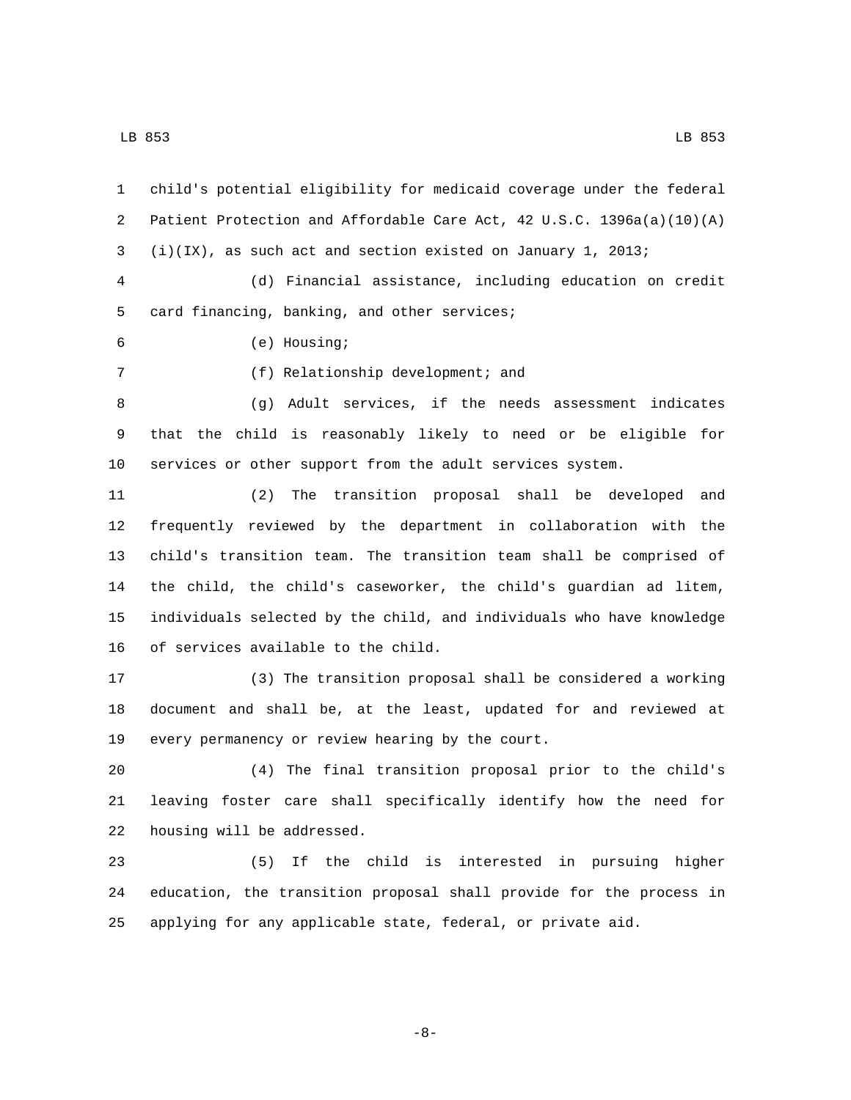child's potential eligibility for medicaid coverage under the federal Patient Protection and Affordable Care Act, 42 U.S.C. 1396a(a)(10)(A) (i)(IX), as such act and section existed on January 1, 2013; (d) Financial assistance, including education on credit 5 card financing, banking, and other services; (e) Housing;6 7 (f) Relationship development; and (g) Adult services, if the needs assessment indicates that the child is reasonably likely to need or be eligible for services or other support from the adult services system. (2) The transition proposal shall be developed and frequently reviewed by the department in collaboration with the child's transition team. The transition team shall be comprised of the child, the child's caseworker, the child's guardian ad litem, individuals selected by the child, and individuals who have knowledge

16 of services available to the child.

 (3) The transition proposal shall be considered a working document and shall be, at the least, updated for and reviewed at 19 every permanency or review hearing by the court.

 (4) The final transition proposal prior to the child's leaving foster care shall specifically identify how the need for 22 housing will be addressed.

 (5) If the child is interested in pursuing higher education, the transition proposal shall provide for the process in applying for any applicable state, federal, or private aid.

-8-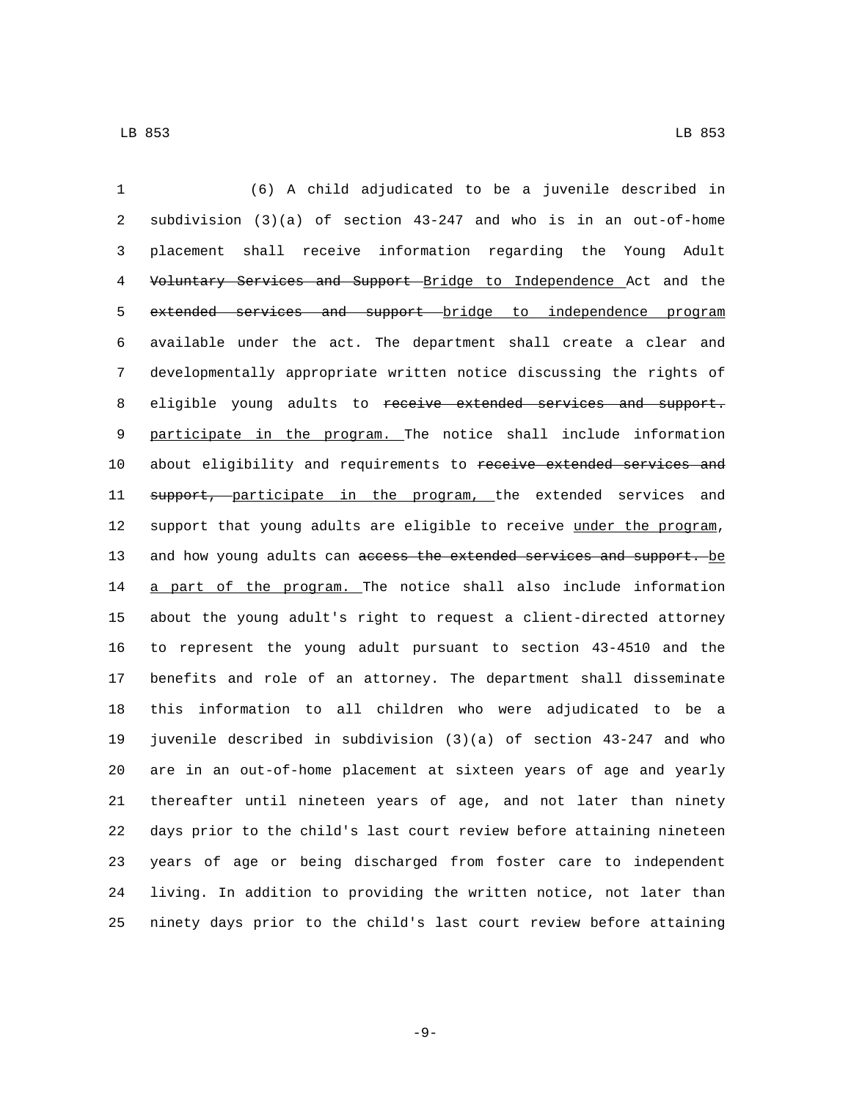(6) A child adjudicated to be a juvenile described in subdivision (3)(a) of section 43-247 and who is in an out-of-home placement shall receive information regarding the Young Adult 4 Voluntary Services and Support Bridge to Independence Act and the 5 extended services and support bridge to independence program available under the act. The department shall create a clear and developmentally appropriate written notice discussing the rights of 8 eligible young adults to receive extended services and support. participate in the program. The notice shall include information 10 about eligibility and requirements to receive extended services and 11 support, participate in the program, the extended services and 12 support that young adults are eligible to receive under the program, 13 and how young adults can access the extended services and support. be 14 a part of the program. The notice shall also include information about the young adult's right to request a client-directed attorney to represent the young adult pursuant to section 43-4510 and the benefits and role of an attorney. The department shall disseminate this information to all children who were adjudicated to be a juvenile described in subdivision (3)(a) of section 43-247 and who are in an out-of-home placement at sixteen years of age and yearly thereafter until nineteen years of age, and not later than ninety days prior to the child's last court review before attaining nineteen years of age or being discharged from foster care to independent living. In addition to providing the written notice, not later than ninety days prior to the child's last court review before attaining

-9-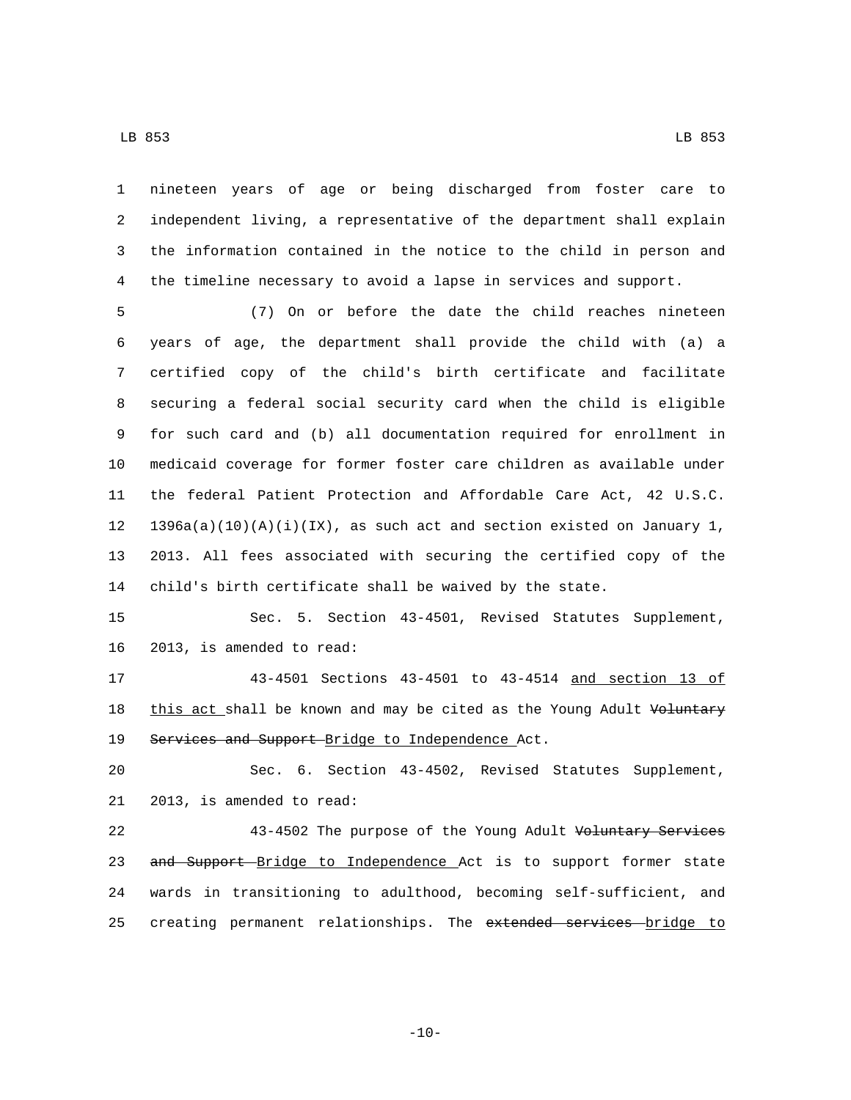nineteen years of age or being discharged from foster care to independent living, a representative of the department shall explain the information contained in the notice to the child in person and the timeline necessary to avoid a lapse in services and support.

 (7) On or before the date the child reaches nineteen years of age, the department shall provide the child with (a) a certified copy of the child's birth certificate and facilitate securing a federal social security card when the child is eligible for such card and (b) all documentation required for enrollment in medicaid coverage for former foster care children as available under the federal Patient Protection and Affordable Care Act, 42 U.S.C. 12 1396a(a)(10)(A)(i)(IX), as such act and section existed on January 1, 2013. All fees associated with securing the certified copy of the child's birth certificate shall be waived by the state.

 Sec. 5. Section 43-4501, Revised Statutes Supplement, 16 2013, is amended to read:

 43-4501 Sections 43-4501 to 43-4514 and section 13 of 18 this act shall be known and may be cited as the Young Adult Voluntary 19 Services and Support Bridge to Independence Act.

 Sec. 6. Section 43-4502, Revised Statutes Supplement, 21 2013, is amended to read:

 43-4502 The purpose of the Young Adult Voluntary Services 23 and Support Bridge to Independence Act is to support former state wards in transitioning to adulthood, becoming self-sufficient, and 25 creating permanent relationships. The extended services bridge to

-10-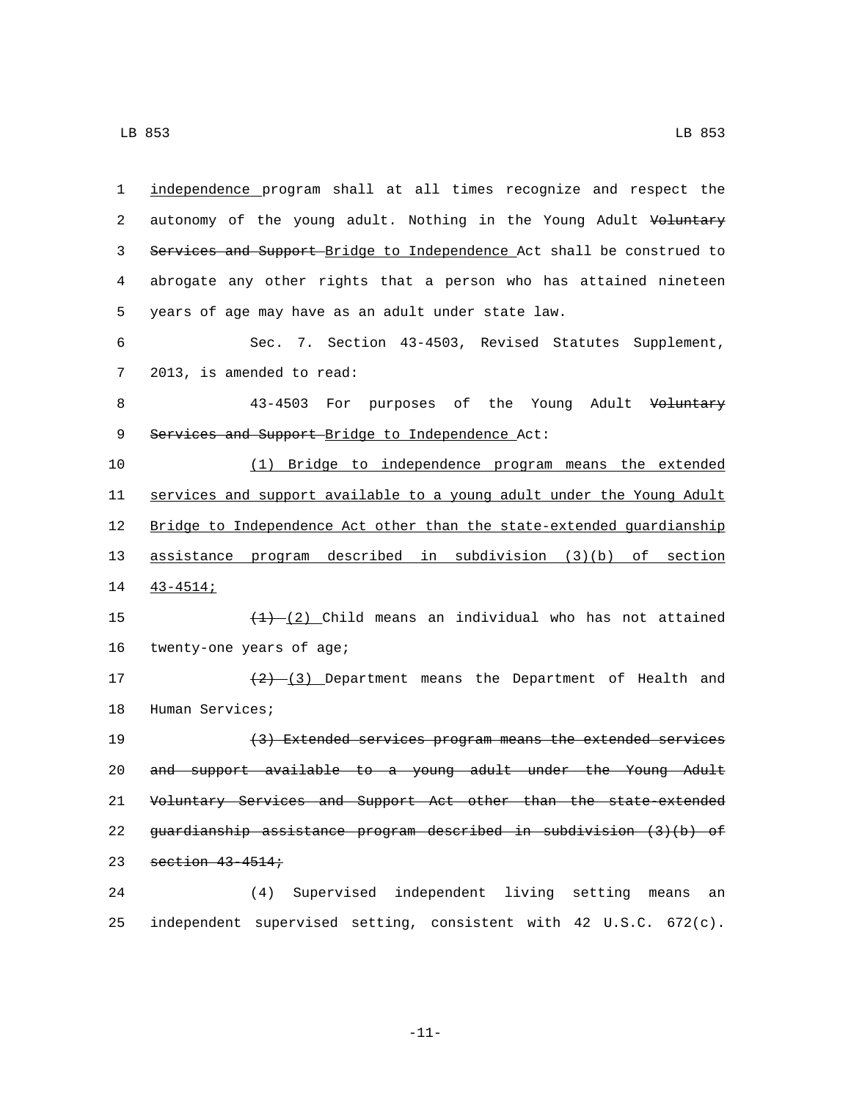| 1  | independence program shall at all times recognize and respect the     |
|----|-----------------------------------------------------------------------|
| 2  | autonomy of the young adult. Nothing in the Young Adult Voluntary     |
| 3  | Services and Support-Bridge to Independence Act shall be construed to |
| 4  | abrogate any other rights that a person who has attained nineteen     |
| 5  | years of age may have as an adult under state law.                    |
| 6  | Sec. 7. Section 43-4503, Revised Statutes Supplement,                 |
| 7  | 2013, is amended to read:                                             |
| 8  | 43-4503 For purposes of the Young Adult Voluntary                     |
| 9  | Services and Support-Bridge to Independence Act:                      |
| 10 | (1) Bridge to independence program means the extended                 |
| 11 | services and support available to a young adult under the Young Adult |
| 12 | Bridge to Independence Act other than the state-extended guardianship |
| 13 | assistance program described in subdivision (3)(b) of section         |
| 14 | $43 - 4514i$                                                          |
| 15 | $(1)$ (2) Child means an individual who has not attained              |
| 16 | twenty-one years of age;                                              |
| 17 | $(2)$ $(3)$ Department means the Department of Health and             |
| 18 | Human Services;                                                       |
| 19 | (3) Extended services program means the extended services             |
| 20 | and support available to a young adult under the Young Adult          |
| 21 | Voluntary Services and Support Act other than the state-extended      |
| 22 | guardianship assistance program described in subdivision $(3)(b)$ of  |
| 23 | section 43-4514;                                                      |
| 24 | (4) Supervised independent living setting means an                    |
| 25 | independent supervised setting, consistent with 42 U.S.C. 672(c).     |

-11-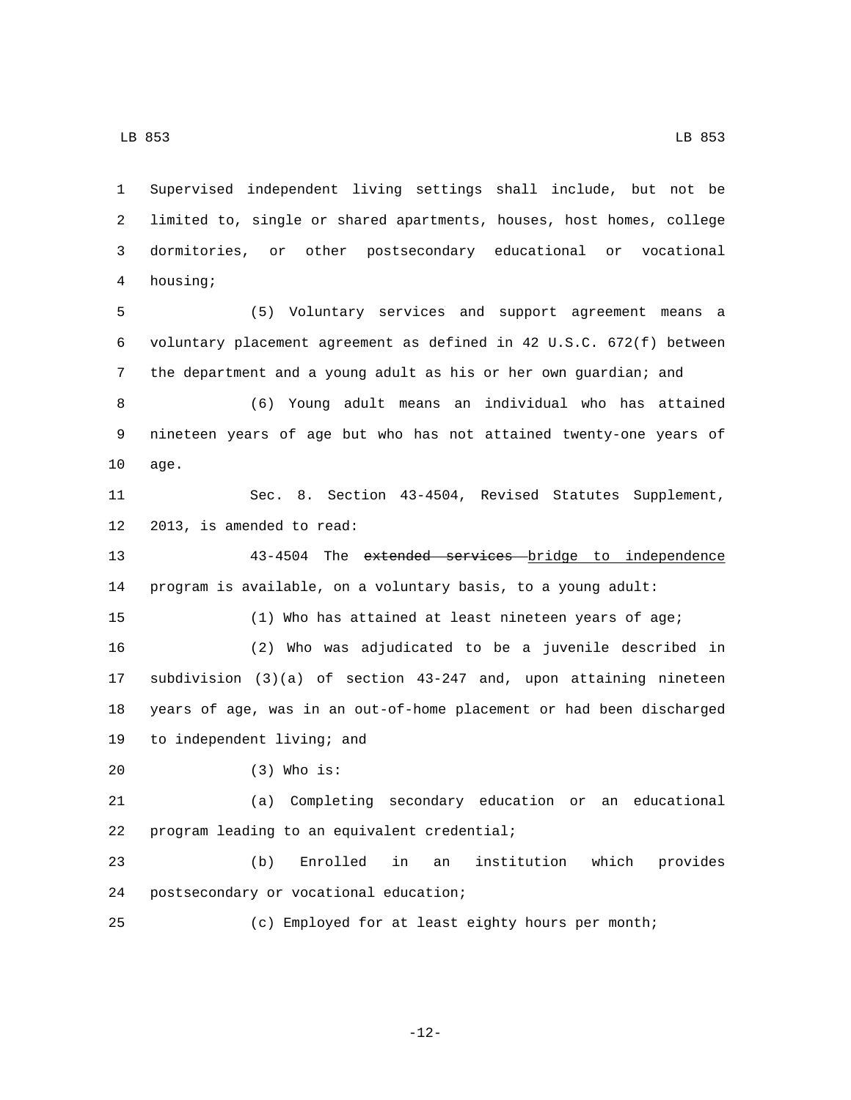Supervised independent living settings shall include, but not be limited to, single or shared apartments, houses, host homes, college dormitories, or other postsecondary educational or vocational housing;4 (5) Voluntary services and support agreement means a voluntary placement agreement as defined in 42 U.S.C. 672(f) between the department and a young adult as his or her own guardian; and (6) Young adult means an individual who has attained nineteen years of age but who has not attained twenty-one years of 10 age. Sec. 8. Section 43-4504, Revised Statutes Supplement, 12 2013, is amended to read: 43-4504 The extended services bridge to independence program is available, on a voluntary basis, to a young adult: (1) Who has attained at least nineteen years of age; (2) Who was adjudicated to be a juvenile described in subdivision (3)(a) of section 43-247 and, upon attaining nineteen years of age, was in an out-of-home placement or had been discharged 19 to independent living; and (3) Who is:20 (a) Completing secondary education or an educational 22 program leading to an equivalent credential; (b) Enrolled in an institution which provides 24 postsecondary or vocational education; (c) Employed for at least eighty hours per month;

-12-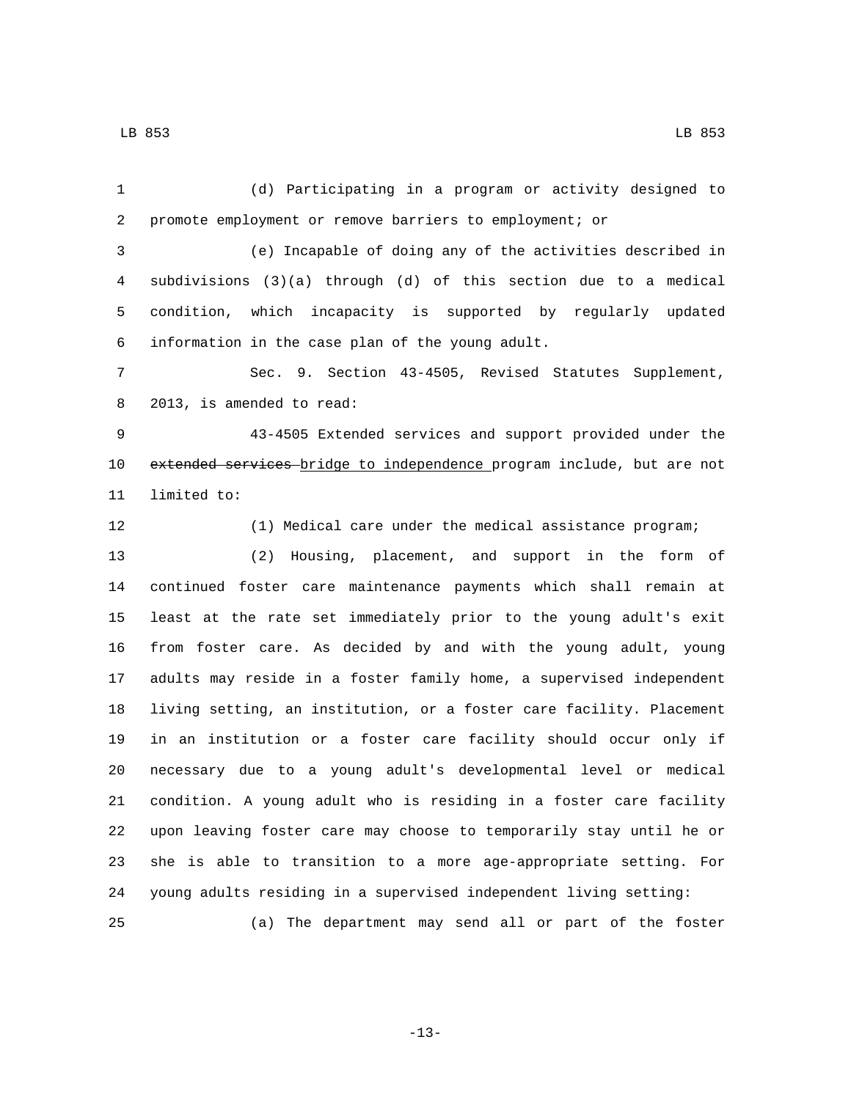(d) Participating in a program or activity designed to promote employment or remove barriers to employment; or (e) Incapable of doing any of the activities described in subdivisions (3)(a) through (d) of this section due to a medical condition, which incapacity is supported by regularly updated information in the case plan of the young adult.6 Sec. 9. Section 43-4505, Revised Statutes Supplement, 8 2013, is amended to read: 43-4505 Extended services and support provided under the 10 extended services-bridge to independence program include, but are not 11 limited to: (1) Medical care under the medical assistance program; (2) Housing, placement, and support in the form of continued foster care maintenance payments which shall remain at least at the rate set immediately prior to the young adult's exit from foster care. As decided by and with the young adult, young adults may reside in a foster family home, a supervised independent living setting, an institution, or a foster care facility. Placement in an institution or a foster care facility should occur only if necessary due to a young adult's developmental level or medical condition. A young adult who is residing in a foster care facility upon leaving foster care may choose to temporarily stay until he or she is able to transition to a more age-appropriate setting. For young adults residing in a supervised independent living setting: (a) The department may send all or part of the foster

-13-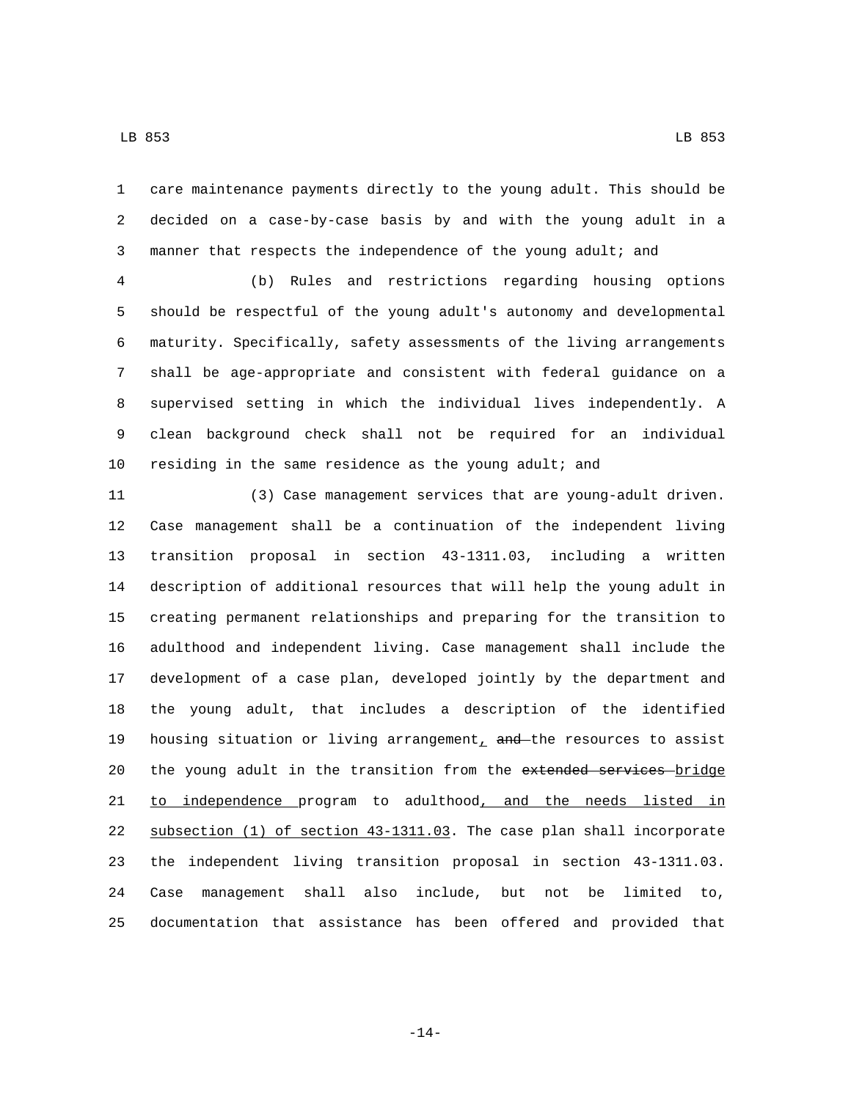care maintenance payments directly to the young adult. This should be decided on a case-by-case basis by and with the young adult in a manner that respects the independence of the young adult; and

 (b) Rules and restrictions regarding housing options should be respectful of the young adult's autonomy and developmental maturity. Specifically, safety assessments of the living arrangements shall be age-appropriate and consistent with federal guidance on a supervised setting in which the individual lives independently. A clean background check shall not be required for an individual residing in the same residence as the young adult; and

 (3) Case management services that are young-adult driven. Case management shall be a continuation of the independent living transition proposal in section 43-1311.03, including a written description of additional resources that will help the young adult in creating permanent relationships and preparing for the transition to adulthood and independent living. Case management shall include the development of a case plan, developed jointly by the department and the young adult, that includes a description of the identified 19 housing situation or living arrangement,  $and$  the resources to assist 20 the young adult in the transition from the extended services bridge 21 to independence program to adulthood, and the needs listed in subsection (1) of section 43-1311.03. The case plan shall incorporate the independent living transition proposal in section 43-1311.03. Case management shall also include, but not be limited to, documentation that assistance has been offered and provided that

-14-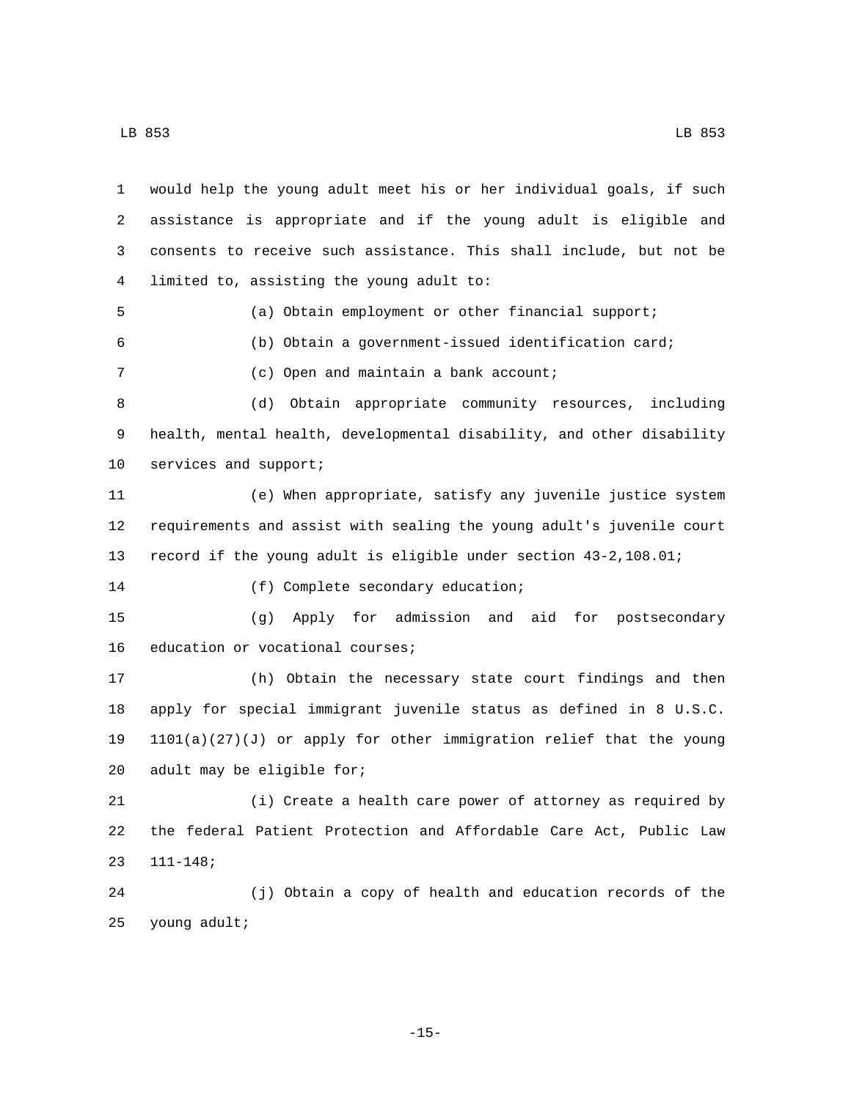| $\mathbf{1}$ | would help the young adult meet his or her individual goals, if such  |
|--------------|-----------------------------------------------------------------------|
| 2            | assistance is appropriate and if the young adult is eligible and      |
| 3            | consents to receive such assistance. This shall include, but not be   |
| 4            | limited to, assisting the young adult to:                             |
| 5            | (a) Obtain employment or other financial support;                     |
| 6            | (b) Obtain a government-issued identification card;                   |
| 7            | (c) Open and maintain a bank account;                                 |
| 8            | Obtain appropriate community resources, including<br>(d)              |
| 9            | health, mental health, developmental disability, and other disability |
| 10           | services and support;                                                 |
| 11           | (e) When appropriate, satisfy any juvenile justice system             |
| 12           | requirements and assist with sealing the young adult's juvenile court |
| 13           | record if the young adult is eligible under section 43-2, 108.01;     |
| 14           | (f) Complete secondary education;                                     |
| 15           | (g) Apply for admission and aid for postsecondary                     |
| 16           | education or vocational courses;                                      |
| 17           | (h) Obtain the necessary state court findings and then                |
| 18           | apply for special immigrant juvenile status as defined in 8 U.S.C.    |
| 19           | $1101(a)(27)(J)$ or apply for other immigration relief that the young |
| 20           | adult may be eligible for;                                            |
| 21           | (i) Create a health care power of attorney as required by             |
| 22           | the federal Patient Protection and Affordable Care Act, Public Law    |
| 23           | $111 - 148;$                                                          |
| 24           | (j) Obtain a copy of health and education records of the              |
| 25           | young adult;                                                          |

-15-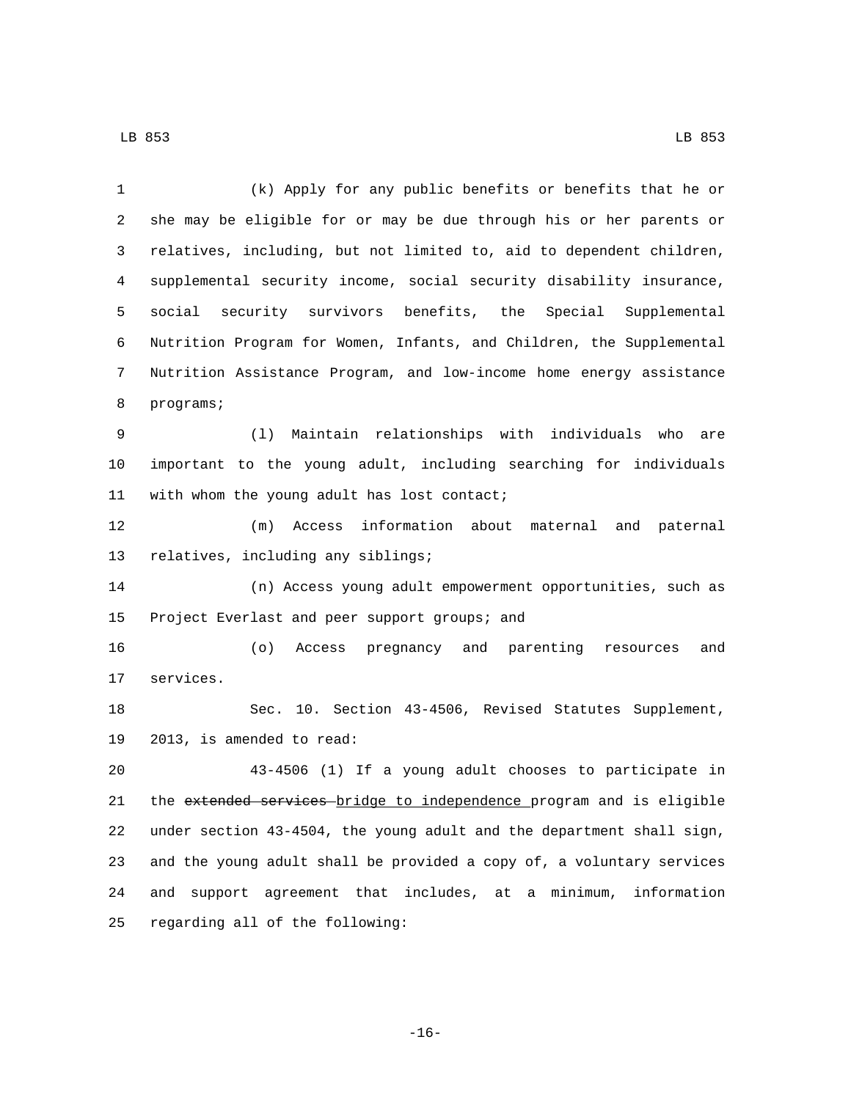| $\mathbf{1}$ | (k) Apply for any public benefits or benefits that he or                |
|--------------|-------------------------------------------------------------------------|
| 2            | she may be eligible for or may be due through his or her parents or     |
| 3            | relatives, including, but not limited to, aid to dependent children,    |
| 4            | supplemental security income, social security disability insurance,     |
| 5            | social security survivors benefits, the Special Supplemental            |
| 6            | Nutrition Program for Women, Infants, and Children, the Supplemental    |
| 7            | Nutrition Assistance Program, and low-income home energy assistance     |
| 8            | programs;                                                               |
| 9            | Maintain relationships with individuals<br>who<br>(1)<br>are            |
| 10           | important to the young adult, including searching for individuals       |
| 11           | with whom the young adult has lost contact;                             |
| 12           | information about maternal and paternal<br>(m)<br>Access                |
| 13           | relatives, including any siblings;                                      |
| 14           | (n) Access young adult empowerment opportunities, such as               |
| 15           | Project Everlast and peer support groups; and                           |
| 16           | (0)<br>pregnancy and parenting<br>and<br>Access<br>resources            |
| 17           | services.                                                               |
| 18           | Sec. 10. Section 43-4506, Revised Statutes Supplement,                  |
| 19           | 2013, is amended to read:                                               |
| 20           | 43-4506 (1) If a young adult chooses to participate in                  |
| 21           | the extended services bridge to independence program and is eligible    |
| 22           | under section 43-4504, the young adult and the department shall sign,   |
| 23           | and the young adult shall be provided a copy of, a voluntary services   |
| 24           | agreement that includes, at a minimum,<br>information<br>support<br>and |
| 25           | regarding all of the following:                                         |

-16-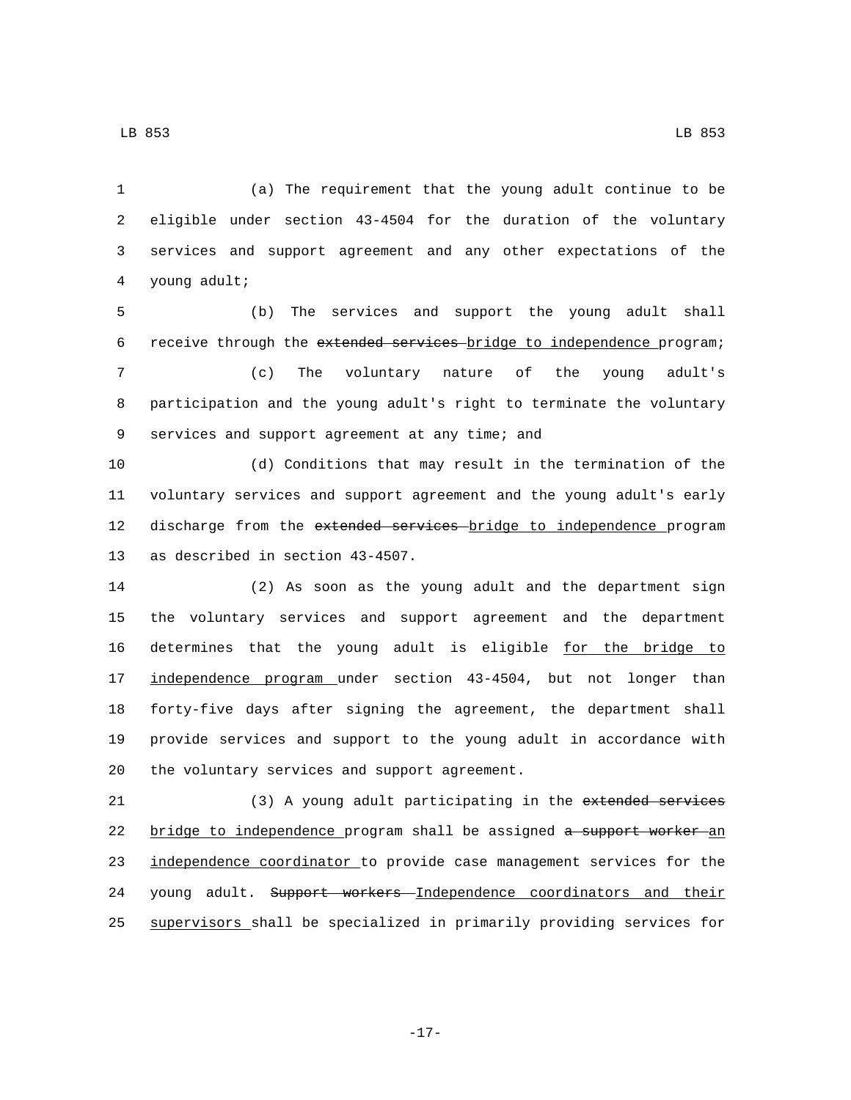(a) The requirement that the young adult continue to be eligible under section 43-4504 for the duration of the voluntary services and support agreement and any other expectations of the 4 young adult;

 (b) The services and support the young adult shall receive through the extended services bridge to independence program; (c) The voluntary nature of the young adult's participation and the young adult's right to terminate the voluntary 9 services and support agreement at any time; and

 (d) Conditions that may result in the termination of the voluntary services and support agreement and the young adult's early 12 discharge from the extended services bridge to independence program 13 as described in section 43-4507.

 (2) As soon as the young adult and the department sign the voluntary services and support agreement and the department determines that the young adult is eligible for the bridge to independence program under section 43-4504, but not longer than forty-five days after signing the agreement, the department shall provide services and support to the young adult in accordance with 20 the voluntary services and support agreement.

 (3) A young adult participating in the extended services 22 bridge to independence program shall be assigned a support worker an 23 independence coordinator to provide case management services for the 24 young adult. Support workers Independence coordinators and their supervisors shall be specialized in primarily providing services for

LB 853 LB 853

-17-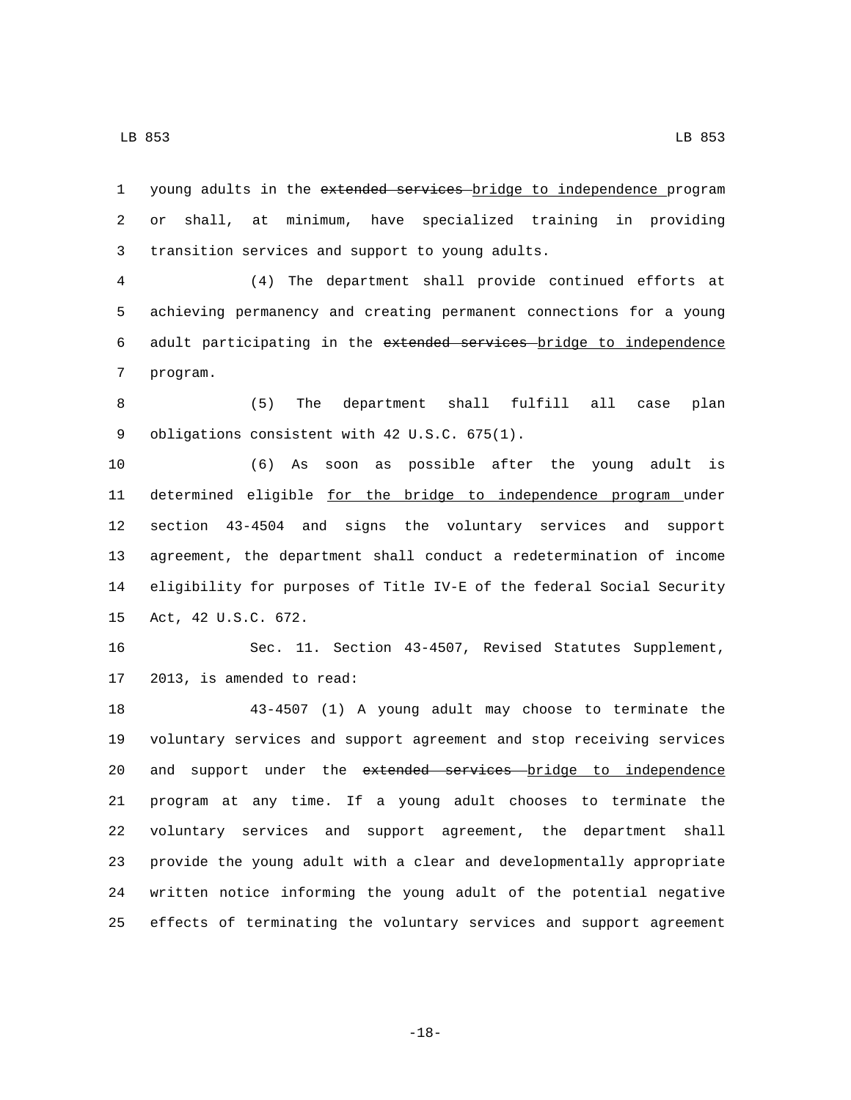1 young adults in the extended services bridge to independence program 2 or shall, at minimum, have specialized training in providing 3 transition services and support to young adults.

4 (4) The department shall provide continued efforts at 5 achieving permanency and creating permanent connections for a young 6 adult participating in the extended services bridge to independence 7 program.

8 (5) The department shall fulfill all case plan 9 obligations consistent with 42 U.S.C. 675(1).

 (6) As soon as possible after the young adult is 11 determined eligible for the bridge to independence program under section 43-4504 and signs the voluntary services and support agreement, the department shall conduct a redetermination of income eligibility for purposes of Title IV-E of the federal Social Security 15 Act, 42 U.S.C. 672.

16 Sec. 11. Section 43-4507, Revised Statutes Supplement, 17 2013, is amended to read:

 43-4507 (1) A young adult may choose to terminate the voluntary services and support agreement and stop receiving services 20 and support under the extended services bridge to independence program at any time. If a young adult chooses to terminate the voluntary services and support agreement, the department shall provide the young adult with a clear and developmentally appropriate written notice informing the young adult of the potential negative effects of terminating the voluntary services and support agreement

-18-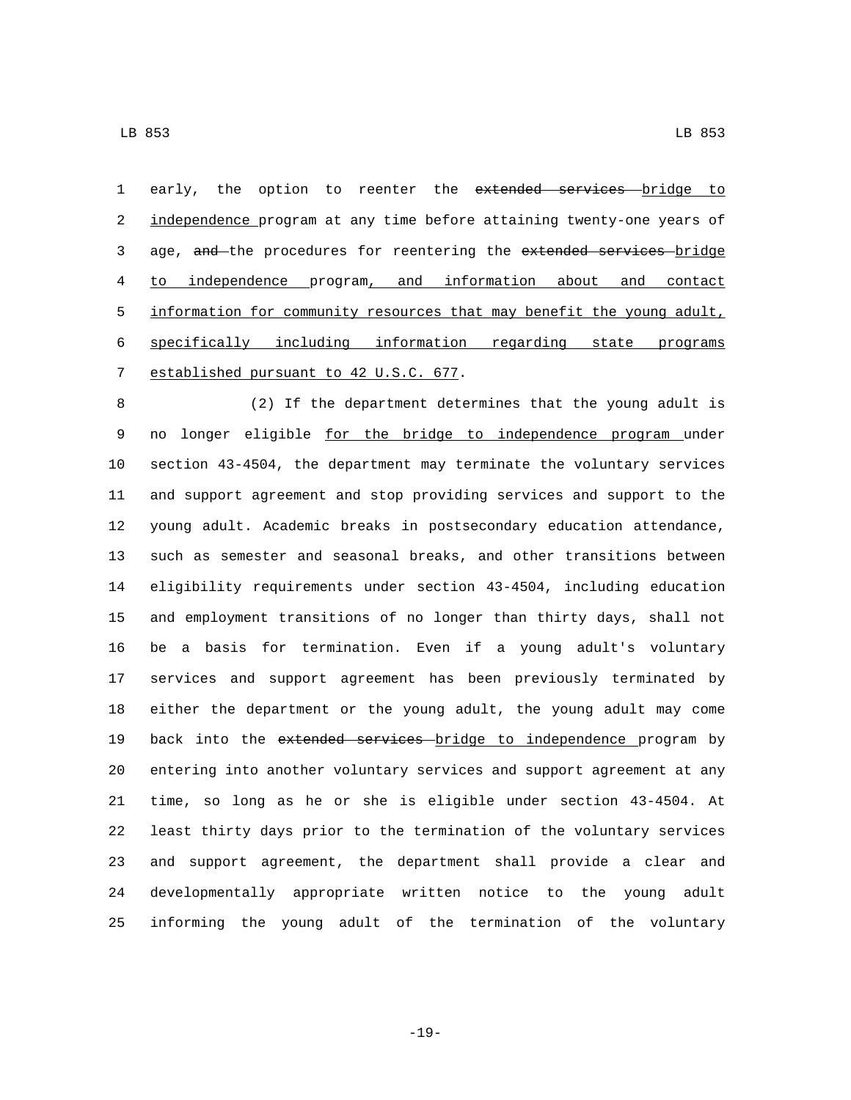1 early, the option to reenter the extended services bridge to 2 independence program at any time before attaining twenty-one years of 3 age, and the procedures for reentering the extended services bridge to independence program, and information about and contact 5 information for community resources that may benefit the young adult, specifically including information regarding state programs 7 established pursuant to 42 U.S.C. 677.

 (2) If the department determines that the young adult is 9 no longer eligible for the bridge to independence program under section 43-4504, the department may terminate the voluntary services and support agreement and stop providing services and support to the young adult. Academic breaks in postsecondary education attendance, such as semester and seasonal breaks, and other transitions between eligibility requirements under section 43-4504, including education and employment transitions of no longer than thirty days, shall not be a basis for termination. Even if a young adult's voluntary services and support agreement has been previously terminated by either the department or the young adult, the young adult may come 19 back into the extended services bridge to independence program by entering into another voluntary services and support agreement at any time, so long as he or she is eligible under section 43-4504. At least thirty days prior to the termination of the voluntary services and support agreement, the department shall provide a clear and developmentally appropriate written notice to the young adult informing the young adult of the termination of the voluntary

-19-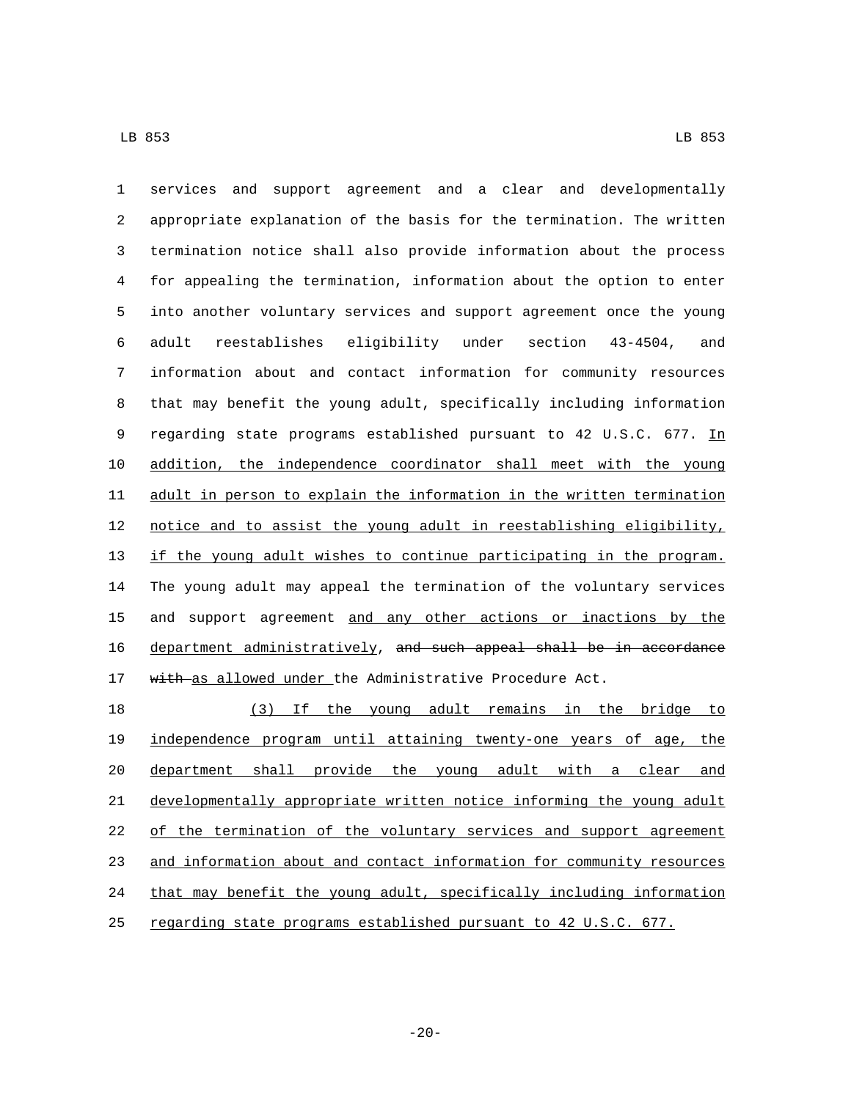services and support agreement and a clear and developmentally appropriate explanation of the basis for the termination. The written termination notice shall also provide information about the process for appealing the termination, information about the option to enter into another voluntary services and support agreement once the young adult reestablishes eligibility under section 43-4504, and information about and contact information for community resources that may benefit the young adult, specifically including information 9 regarding state programs established pursuant to 42 U.S.C. 677. In addition, the independence coordinator shall meet with the young adult in person to explain the information in the written termination notice and to assist the young adult in reestablishing eligibility, if the young adult wishes to continue participating in the program. The young adult may appeal the termination of the voluntary services and support agreement and any other actions or inactions by the 16 department administratively, and such appeal shall be in accordance 17 with as allowed under the Administrative Procedure Act.

 (3) If the young adult remains in the bridge to independence program until attaining twenty-one years of age, the department shall provide the young adult with a clear and developmentally appropriate written notice informing the young adult 22 of the termination of the voluntary services and support agreement and information about and contact information for community resources that may benefit the young adult, specifically including information regarding state programs established pursuant to 42 U.S.C. 677.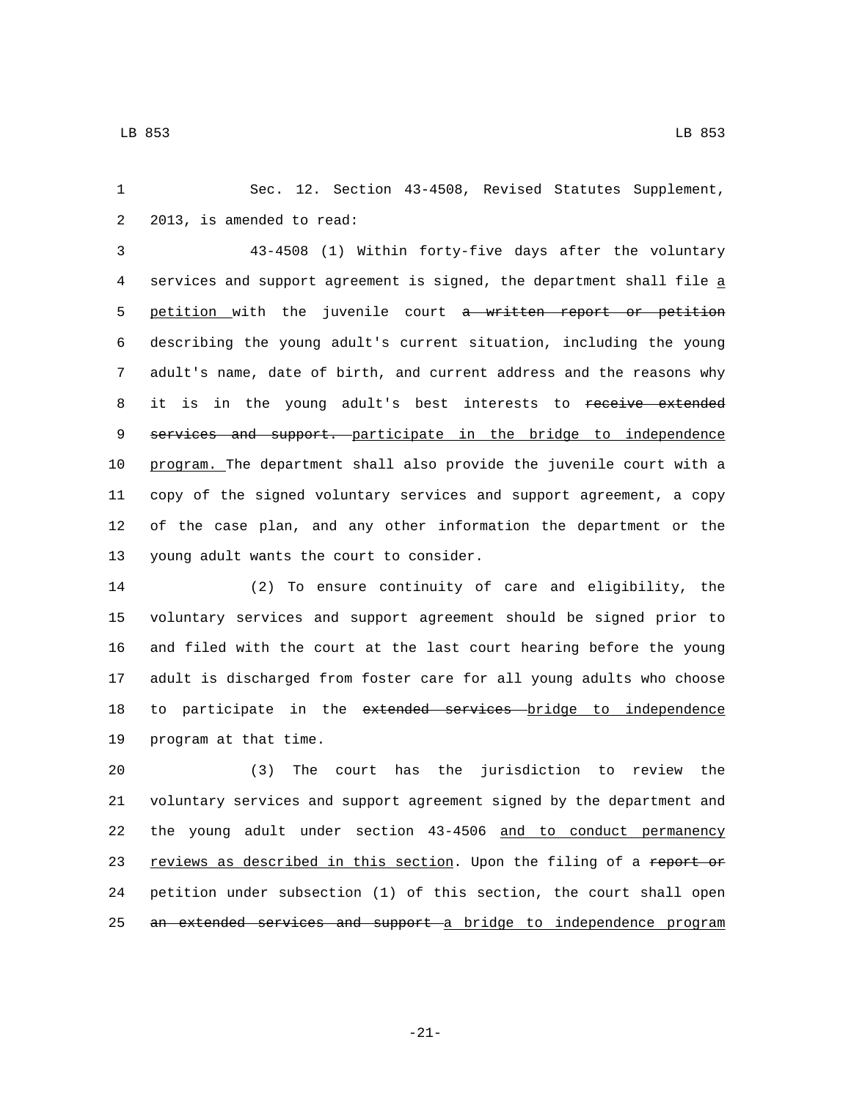1 Sec. 12. Section 43-4508, Revised Statutes Supplement, 2 2013, is amended to read:

 43-4508 (1) Within forty-five days after the voluntary services and support agreement is signed, the department shall file a 5 petition with the juvenile court a written report or petition describing the young adult's current situation, including the young adult's name, date of birth, and current address and the reasons why 8 it is in the young adult's best interests to receive extended 9 services and support. participate in the bridge to independence program. The department shall also provide the juvenile court with a copy of the signed voluntary services and support agreement, a copy of the case plan, and any other information the department or the 13 young adult wants the court to consider.

 (2) To ensure continuity of care and eligibility, the voluntary services and support agreement should be signed prior to and filed with the court at the last court hearing before the young adult is discharged from foster care for all young adults who choose 18 to participate in the extended services bridge to independence 19 program at that time.

 (3) The court has the jurisdiction to review the voluntary services and support agreement signed by the department and the young adult under section 43-4506 and to conduct permanency 23 reviews as described in this section. Upon the filing of a report or petition under subsection (1) of this section, the court shall open 25 an extended services and support a bridge to independence program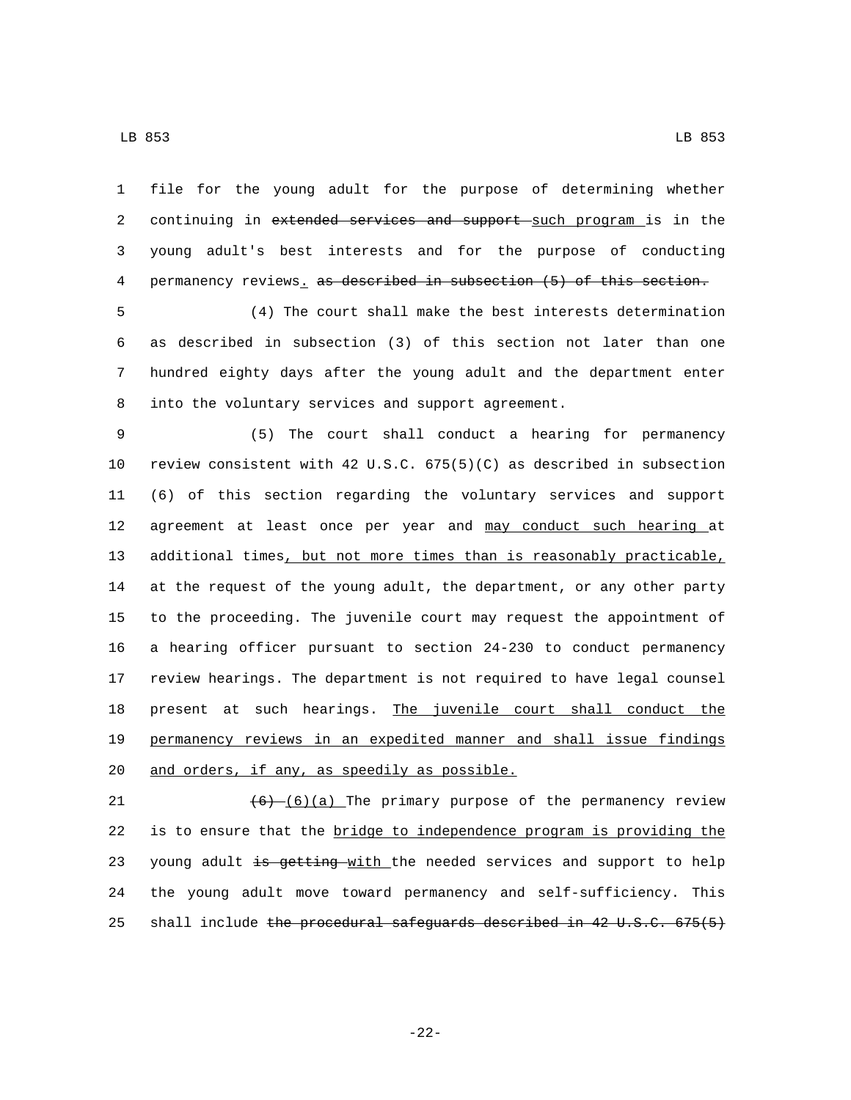file for the young adult for the purpose of determining whether 2 continuing in extended services and support such program is in the young adult's best interests and for the purpose of conducting permanency reviews. as described in subsection (5) of this section.

 (4) The court shall make the best interests determination as described in subsection (3) of this section not later than one hundred eighty days after the young adult and the department enter 8 into the voluntary services and support agreement.

 (5) The court shall conduct a hearing for permanency review consistent with 42 U.S.C. 675(5)(C) as described in subsection (6) of this section regarding the voluntary services and support 12 agreement at least once per year and may conduct such hearing at additional times, but not more times than is reasonably practicable, at the request of the young adult, the department, or any other party to the proceeding. The juvenile court may request the appointment of a hearing officer pursuant to section 24-230 to conduct permanency review hearings. The department is not required to have legal counsel 18 present at such hearings. The juvenile court shall conduct the permanency reviews in an expedited manner and shall issue findings 20 and orders, if any, as speedily as possible.

21  $(6)$   $(6)(a)$  The primary purpose of the permanency review is to ensure that the bridge to independence program is providing the 23 young adult is getting with the needed services and support to help the young adult move toward permanency and self-sufficiency. This 25 shall include the procedural safeguards described in 42 U.S.C. 675(5)

-22-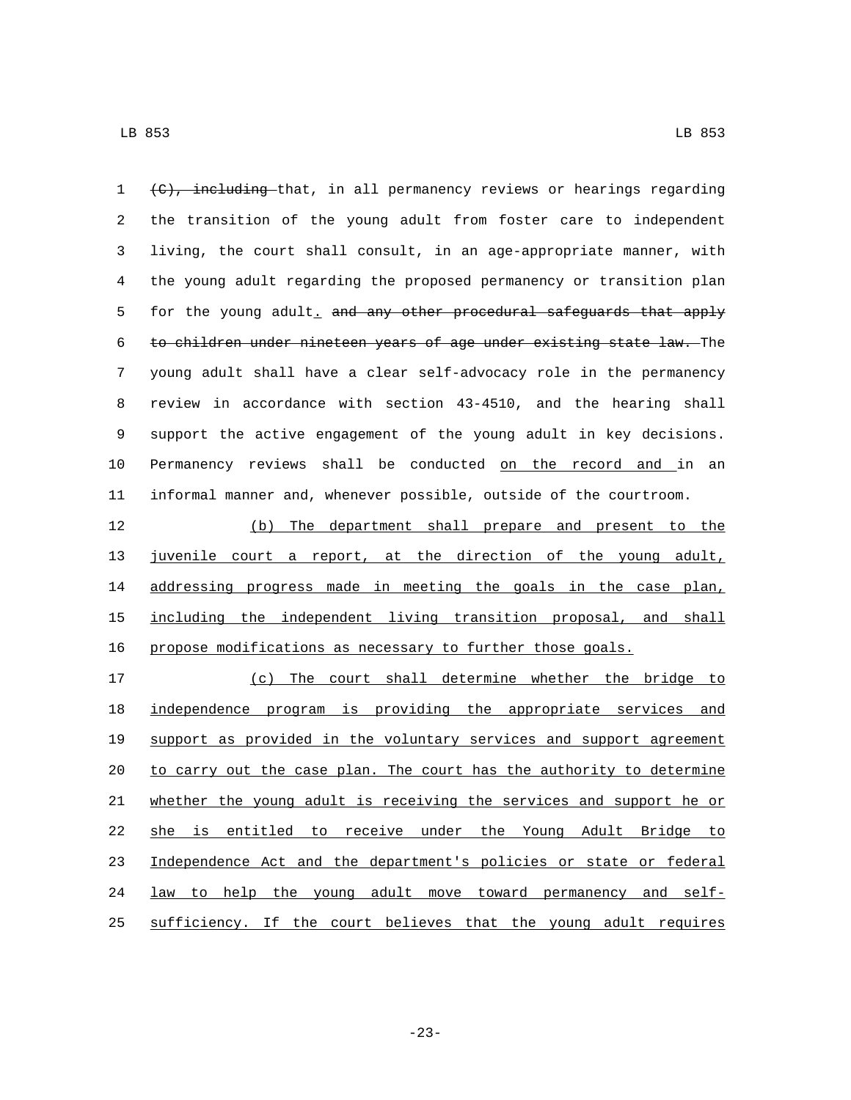(C), including that, in all permanency reviews or hearings regarding the transition of the young adult from foster care to independent living, the court shall consult, in an age-appropriate manner, with the young adult regarding the proposed permanency or transition plan 5 for the young adult, and any other procedural safeguards that apply to children under nineteen years of age under existing state law. The young adult shall have a clear self-advocacy role in the permanency review in accordance with section 43-4510, and the hearing shall support the active engagement of the young adult in key decisions. Permanency reviews shall be conducted on the record and in an informal manner and, whenever possible, outside of the courtroom.

 (b) The department shall prepare and present to the juvenile court a report, at the direction of the young adult, 14 addressing progress made in meeting the goals in the case plan, including the independent living transition proposal, and shall propose modifications as necessary to further those goals.

 (c) The court shall determine whether the bridge to independence program is providing the appropriate services and support as provided in the voluntary services and support agreement 20 to carry out the case plan. The court has the authority to determine whether the young adult is receiving the services and support he or she is entitled to receive under the Young Adult Bridge to 23 Independence Act and the department's policies or state or federal 24 law to help the young adult move toward permanency and self-sufficiency. If the court believes that the young adult requires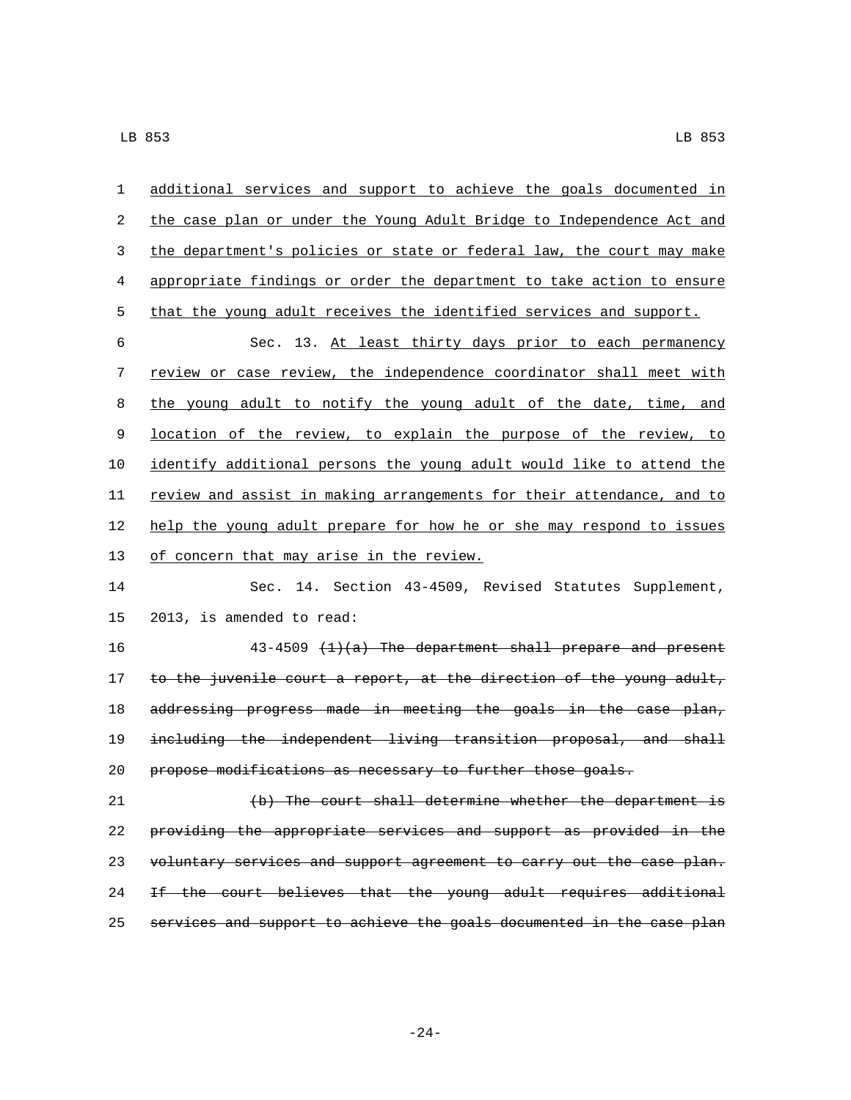| 1       | additional services and support to achieve the goals documented in    |
|---------|-----------------------------------------------------------------------|
| 2       | the case plan or under the Young Adult Bridge to Independence Act and |
| 3       | the department's policies or state or federal law, the court may make |
| 4       | appropriate findings or order the department to take action to ensure |
| 5       | that the young adult receives the identified services and support.    |
| 6       | Sec. 13. At least thirty days prior to each permanency                |
| 7       | review or case review, the independence coordinator shall meet with   |
| $\,8\,$ | the young adult to notify the young adult of the date, time, and      |
| 9       | location of the review, to explain the purpose of the review, to      |
| 10      | identify additional persons the young adult would like to attend the  |
| 11      | review and assist in making arrangements for their attendance, and to |
| 12      | help the young adult prepare for how he or she may respond to issues  |
| 13      | of concern that may arise in the review.                              |
| 14      | Sec. 14. Section 43-4509, Revised Statutes Supplement,                |
| 15      | 2013, is amended to read:                                             |
| 16      | $43-4509$ $(1)(a)$ The department shall prepare and present           |
| 17      | to the juvenile court a report, at the direction of the young adult,  |
| 18      | addressing progress made in meeting the goals in the case plan,       |
| 19      | including the independent living transition proposal, and shall       |
| 20      | propose modifications as necessary to further those goals.            |
| 21      | (b) The court shall determine whether the department is               |
| 22      | providing the appropriate services and support as provided in the     |
| 23      | voluntary services and support agreement to carry out the case plan.  |
| 24      | If the court believes that the young adult requires additional        |
| 25      | services and support to achieve the goals documented in the case plan |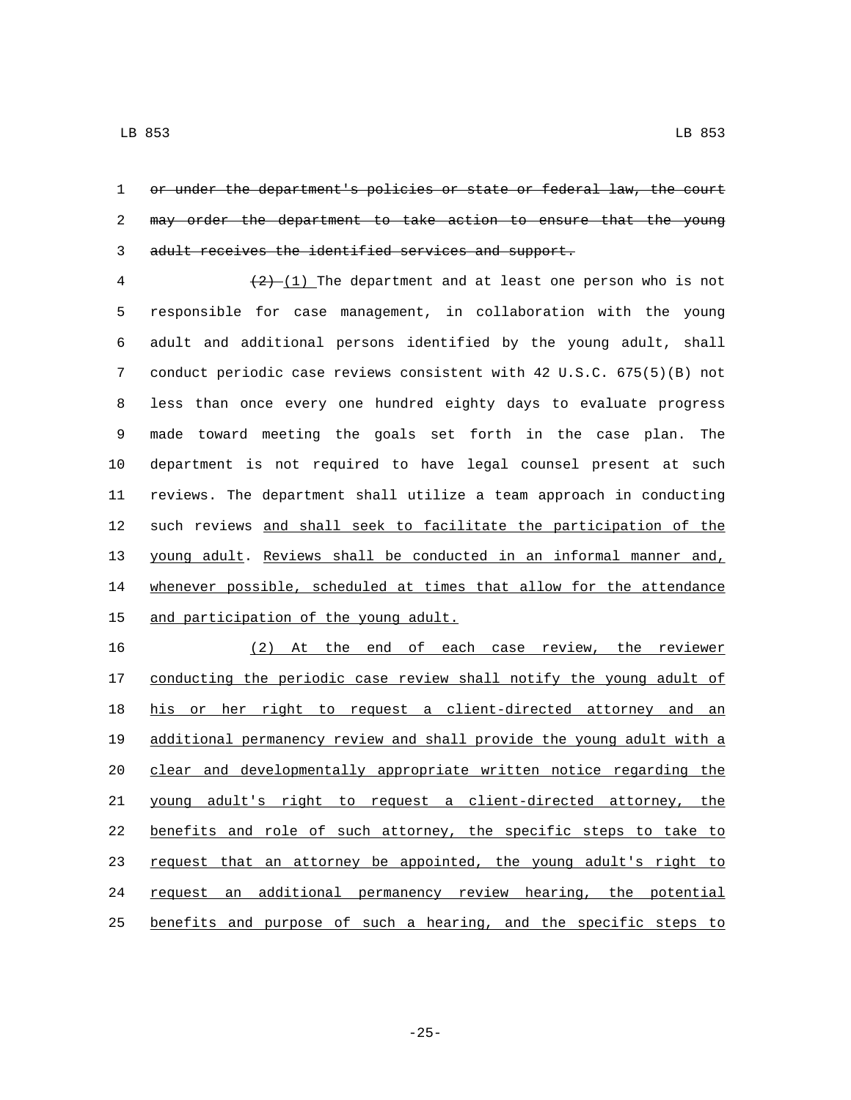or under the department's policies or state or federal law, the court may order the department to take action to ensure that the young adult receives the identified services and support.

 $\frac{(2) - (1)}{2}$  The department and at least one person who is not responsible for case management, in collaboration with the young adult and additional persons identified by the young adult, shall conduct periodic case reviews consistent with 42 U.S.C. 675(5)(B) not less than once every one hundred eighty days to evaluate progress made toward meeting the goals set forth in the case plan. The department is not required to have legal counsel present at such reviews. The department shall utilize a team approach in conducting such reviews and shall seek to facilitate the participation of the young adult. Reviews shall be conducted in an informal manner and, whenever possible, scheduled at times that allow for the attendance 15 and participation of the young adult.

 (2) At the end of each case review, the reviewer 17 conducting the periodic case review shall notify the young adult of his or her right to request a client-directed attorney and an additional permanency review and shall provide the young adult with a clear and developmentally appropriate written notice regarding the young adult's right to request a client-directed attorney, the benefits and role of such attorney, the specific steps to take to 23 request that an attorney be appointed, the young adult's right to 24 request an additional permanency review hearing, the potential benefits and purpose of such a hearing, and the specific steps to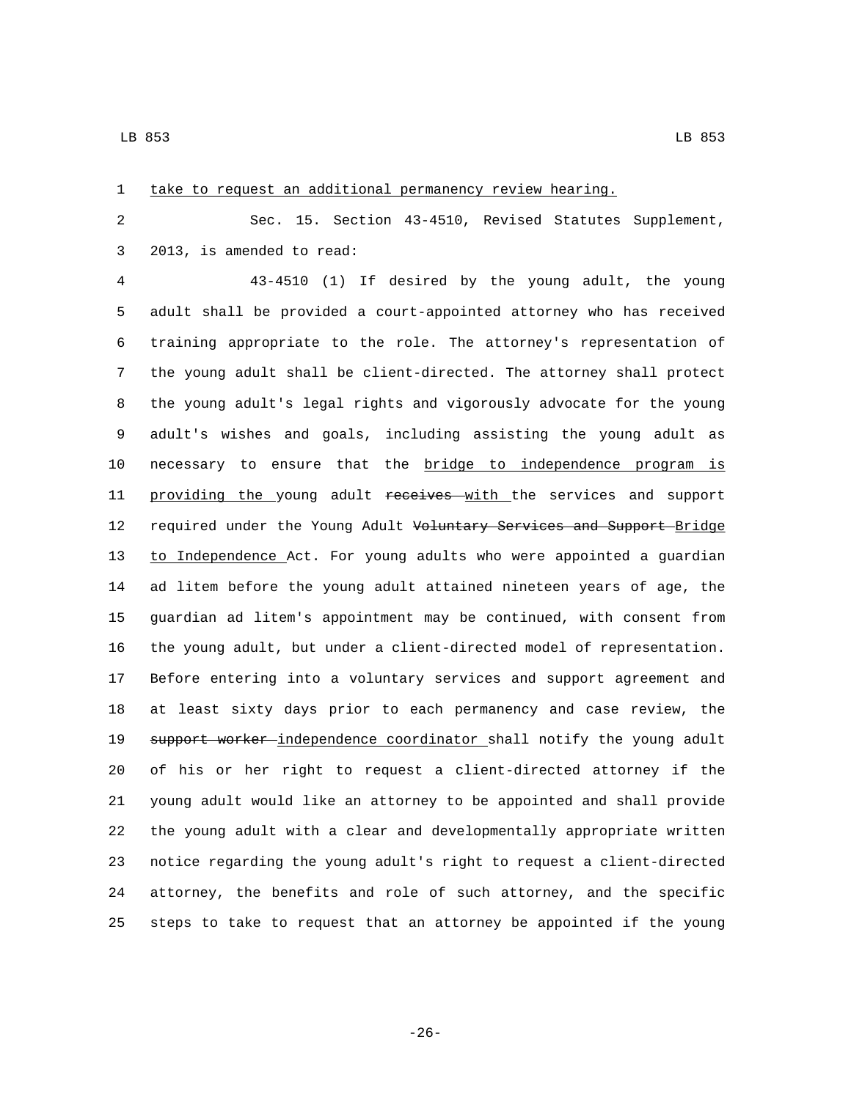| $\mathbf{1}$ | take to request an additional permanency review hearing.              |
|--------------|-----------------------------------------------------------------------|
| 2            | Sec. 15. Section 43-4510, Revised Statutes Supplement,                |
| 3            | 2013, is amended to read:                                             |
| 4            | 43-4510 (1) If desired by the young adult, the young                  |
| 5            | adult shall be provided a court-appointed attorney who has received   |
| 6            | training appropriate to the role. The attorney's representation of    |
| 7            | the young adult shall be client-directed. The attorney shall protect  |
| 8            | the young adult's legal rights and vigorously advocate for the young  |
| 9            | adult's wishes and goals, including assisting the young adult as      |
| 10           | necessary to ensure that the bridge to independence program is        |
| 11           | providing the young adult receives with the services and support      |
| 12           | required under the Young Adult Voluntary Services and Support Bridge  |
| 13           | to Independence Act. For young adults who were appointed a guardian   |
| 14           | ad litem before the young adult attained nineteen years of age, the   |
| 15           | guardian ad litem's appointment may be continued, with consent from   |
| 16           | the young adult, but under a client-directed model of representation. |
| 17           | Before entering into a voluntary services and support agreement and   |
| 18           | at least sixty days prior to each permanency and case review, the     |
| 19           | support worker-independence coordinator shall notify the young adult  |
| 20           | of his or her right to request a client-directed attorney if the      |
| 21           | young adult would like an attorney to be appointed and shall provide  |
| 22           | the young adult with a clear and developmentally appropriate written  |
| 23           | notice regarding the young adult's right to request a client-directed |
| 24           | attorney, the benefits and role of such attorney, and the specific    |
| 25           | steps to take to request that an attorney be appointed if the young   |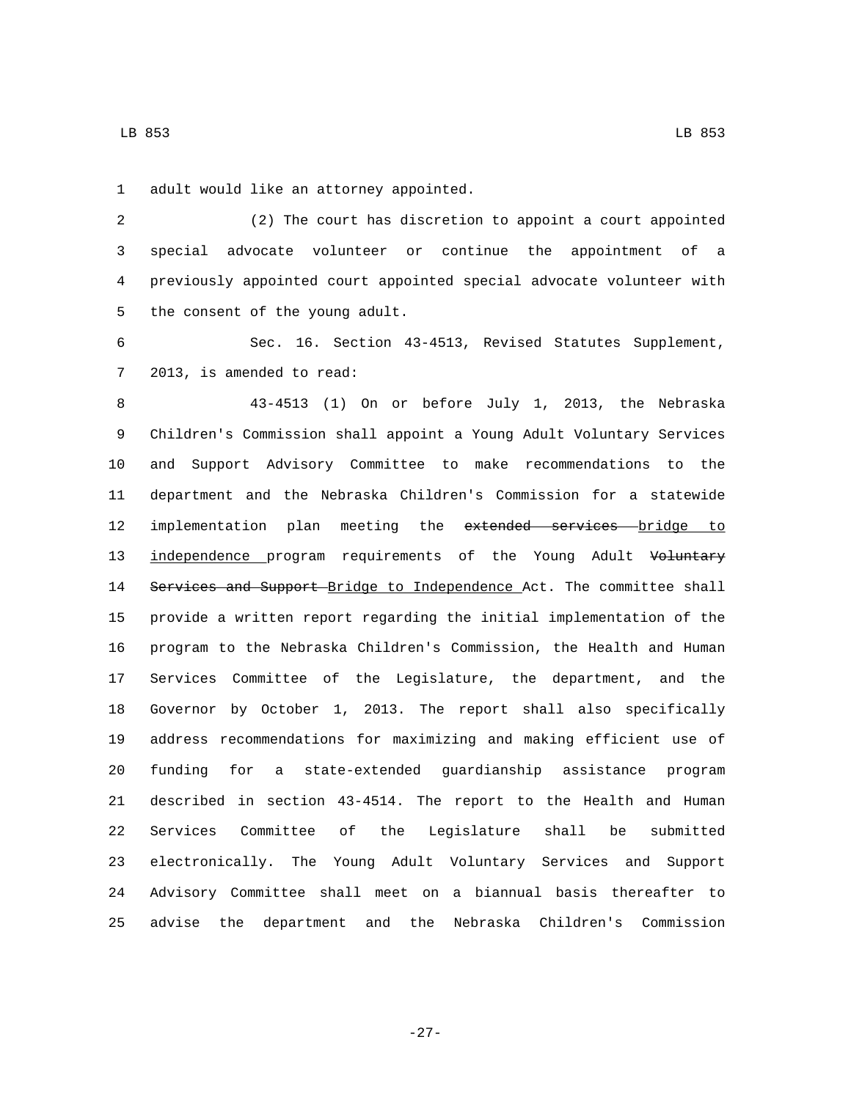1 adult would like an attorney appointed.

 (2) The court has discretion to appoint a court appointed special advocate volunteer or continue the appointment of a previously appointed court appointed special advocate volunteer with 5 the consent of the young adult.

 Sec. 16. Section 43-4513, Revised Statutes Supplement, 7 2013, is amended to read:

 43-4513 (1) On or before July 1, 2013, the Nebraska Children's Commission shall appoint a Young Adult Voluntary Services and Support Advisory Committee to make recommendations to the department and the Nebraska Children's Commission for a statewide 12 implementation plan meeting the extended services bridge to 13 independence program requirements of the Young Adult Voluntary 14 Services and Support Bridge to Independence Act. The committee shall provide a written report regarding the initial implementation of the program to the Nebraska Children's Commission, the Health and Human Services Committee of the Legislature, the department, and the Governor by October 1, 2013. The report shall also specifically address recommendations for maximizing and making efficient use of funding for a state-extended guardianship assistance program described in section 43-4514. The report to the Health and Human Services Committee of the Legislature shall be submitted electronically. The Young Adult Voluntary Services and Support Advisory Committee shall meet on a biannual basis thereafter to advise the department and the Nebraska Children's Commission

LB 853 LB 853

-27-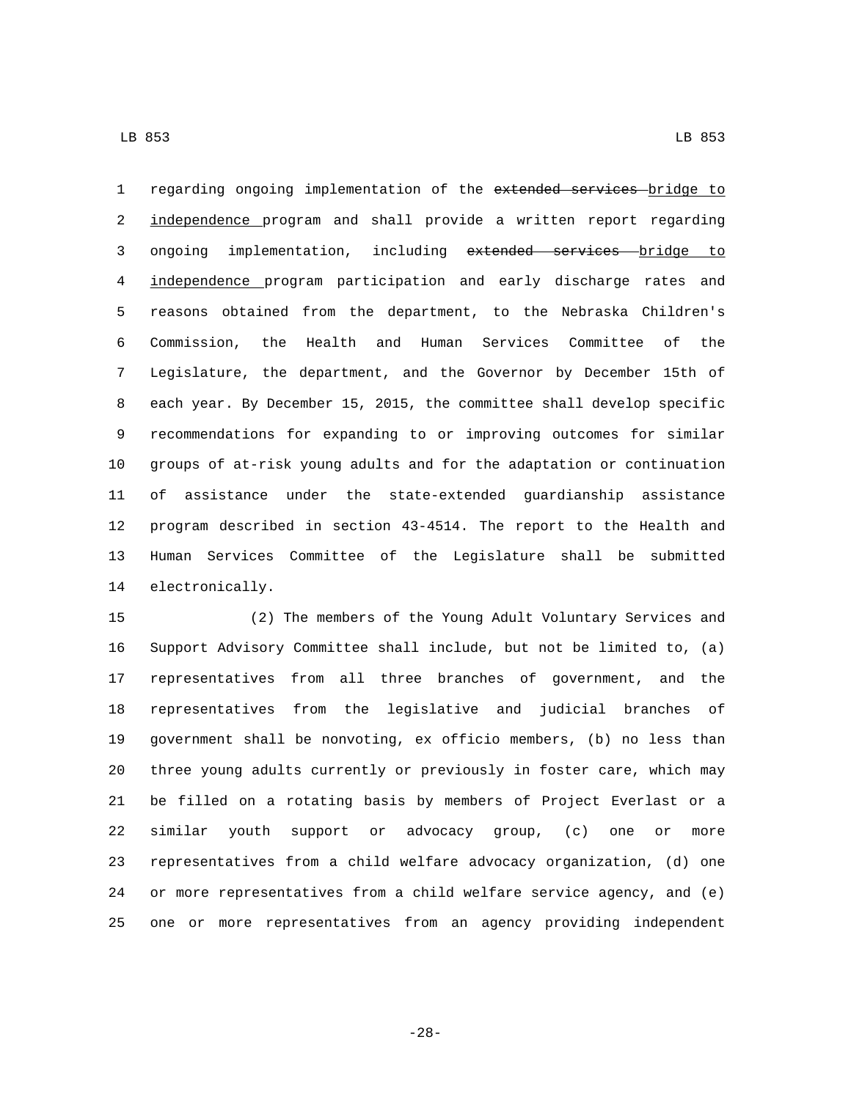1 regarding ongoing implementation of the extended services bridge to independence program and shall provide a written report regarding 3 ongoing implementation, including extended services bridge to independence program participation and early discharge rates and reasons obtained from the department, to the Nebraska Children's Commission, the Health and Human Services Committee of the Legislature, the department, and the Governor by December 15th of each year. By December 15, 2015, the committee shall develop specific recommendations for expanding to or improving outcomes for similar groups of at-risk young adults and for the adaptation or continuation of assistance under the state-extended guardianship assistance program described in section 43-4514. The report to the Health and Human Services Committee of the Legislature shall be submitted 14 electronically.

 (2) The members of the Young Adult Voluntary Services and Support Advisory Committee shall include, but not be limited to, (a) representatives from all three branches of government, and the representatives from the legislative and judicial branches of government shall be nonvoting, ex officio members, (b) no less than three young adults currently or previously in foster care, which may be filled on a rotating basis by members of Project Everlast or a similar youth support or advocacy group, (c) one or more representatives from a child welfare advocacy organization, (d) one or more representatives from a child welfare service agency, and (e) one or more representatives from an agency providing independent

-28-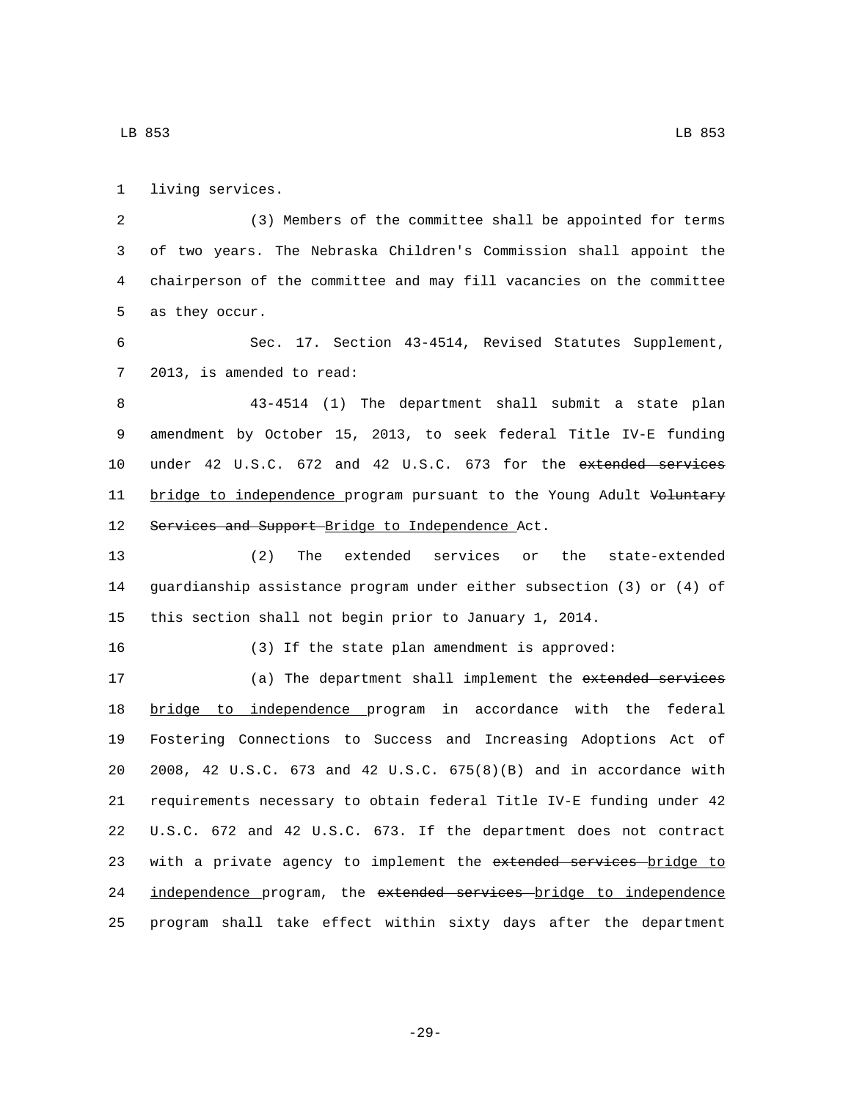1 living services.

 (3) Members of the committee shall be appointed for terms of two years. The Nebraska Children's Commission shall appoint the chairperson of the committee and may fill vacancies on the committee 5 as they occur.

6 Sec. 17. Section 43-4514, Revised Statutes Supplement, 7 2013, is amended to read:

8 43-4514 (1) The department shall submit a state plan 9 amendment by October 15, 2013, to seek federal Title IV-E funding 10 under 42 U.S.C. 672 and 42 U.S.C. 673 for the extended services 11 bridge to independence program pursuant to the Young Adult Voluntary 12 Services and Support Bridge to Independence Act.

13 (2) The extended services or the state-extended 14 guardianship assistance program under either subsection (3) or (4) of 15 this section shall not begin prior to January 1, 2014.

16 (3) If the state plan amendment is approved:

17 (a) The department shall implement the extended services bridge to independence program in accordance with the federal Fostering Connections to Success and Increasing Adoptions Act of 2008, 42 U.S.C. 673 and 42 U.S.C. 675(8)(B) and in accordance with requirements necessary to obtain federal Title IV-E funding under 42 U.S.C. 672 and 42 U.S.C. 673. If the department does not contract 23 with a private agency to implement the extended services bridge to 24 independence program, the extended services bridge to independence program shall take effect within sixty days after the department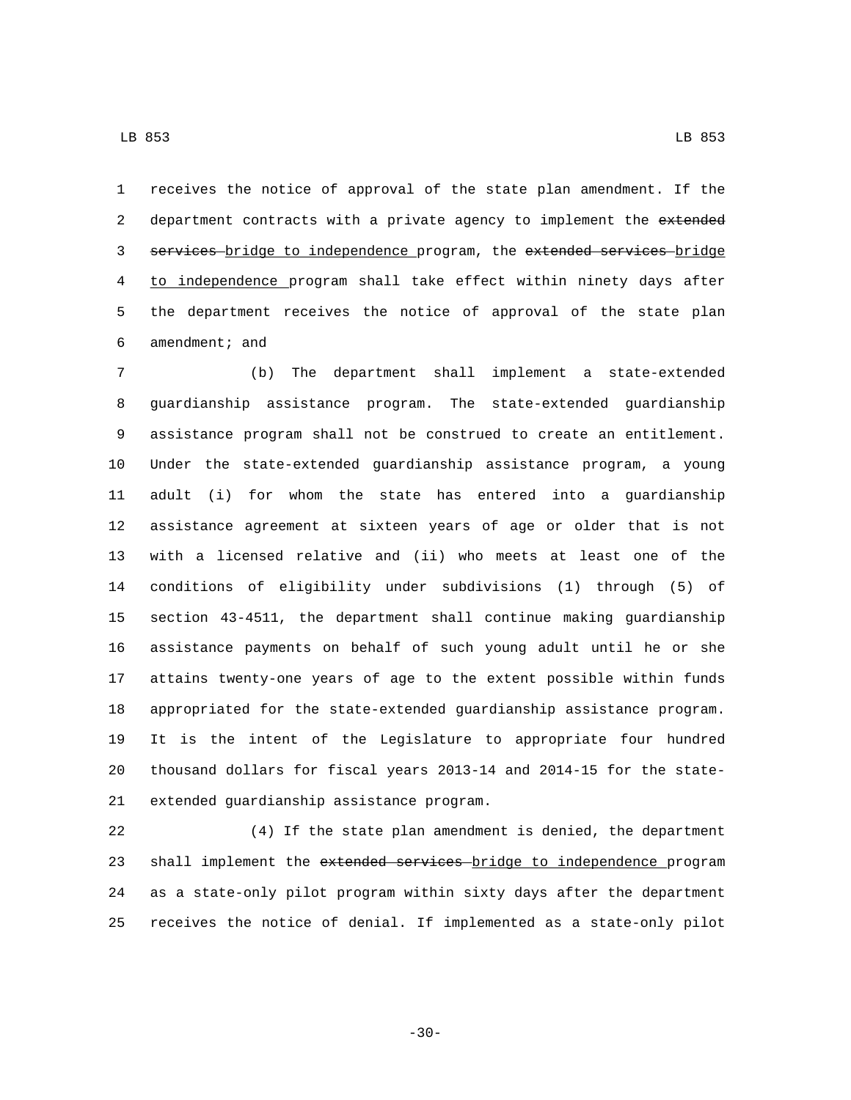receives the notice of approval of the state plan amendment. If the 2 department contracts with a private agency to implement the extended 3 services bridge to independence program, the extended services bridge to independence program shall take effect within ninety days after the department receives the notice of approval of the state plan 6 amendment; and

 (b) The department shall implement a state-extended guardianship assistance program. The state-extended guardianship assistance program shall not be construed to create an entitlement. Under the state-extended guardianship assistance program, a young adult (i) for whom the state has entered into a guardianship assistance agreement at sixteen years of age or older that is not with a licensed relative and (ii) who meets at least one of the conditions of eligibility under subdivisions (1) through (5) of section 43-4511, the department shall continue making guardianship assistance payments on behalf of such young adult until he or she attains twenty-one years of age to the extent possible within funds appropriated for the state-extended guardianship assistance program. It is the intent of the Legislature to appropriate four hundred thousand dollars for fiscal years 2013-14 and 2014-15 for the state-21 extended guardianship assistance program.

 (4) If the state plan amendment is denied, the department 23 shall implement the extended services bridge to independence program as a state-only pilot program within sixty days after the department receives the notice of denial. If implemented as a state-only pilot

-30-